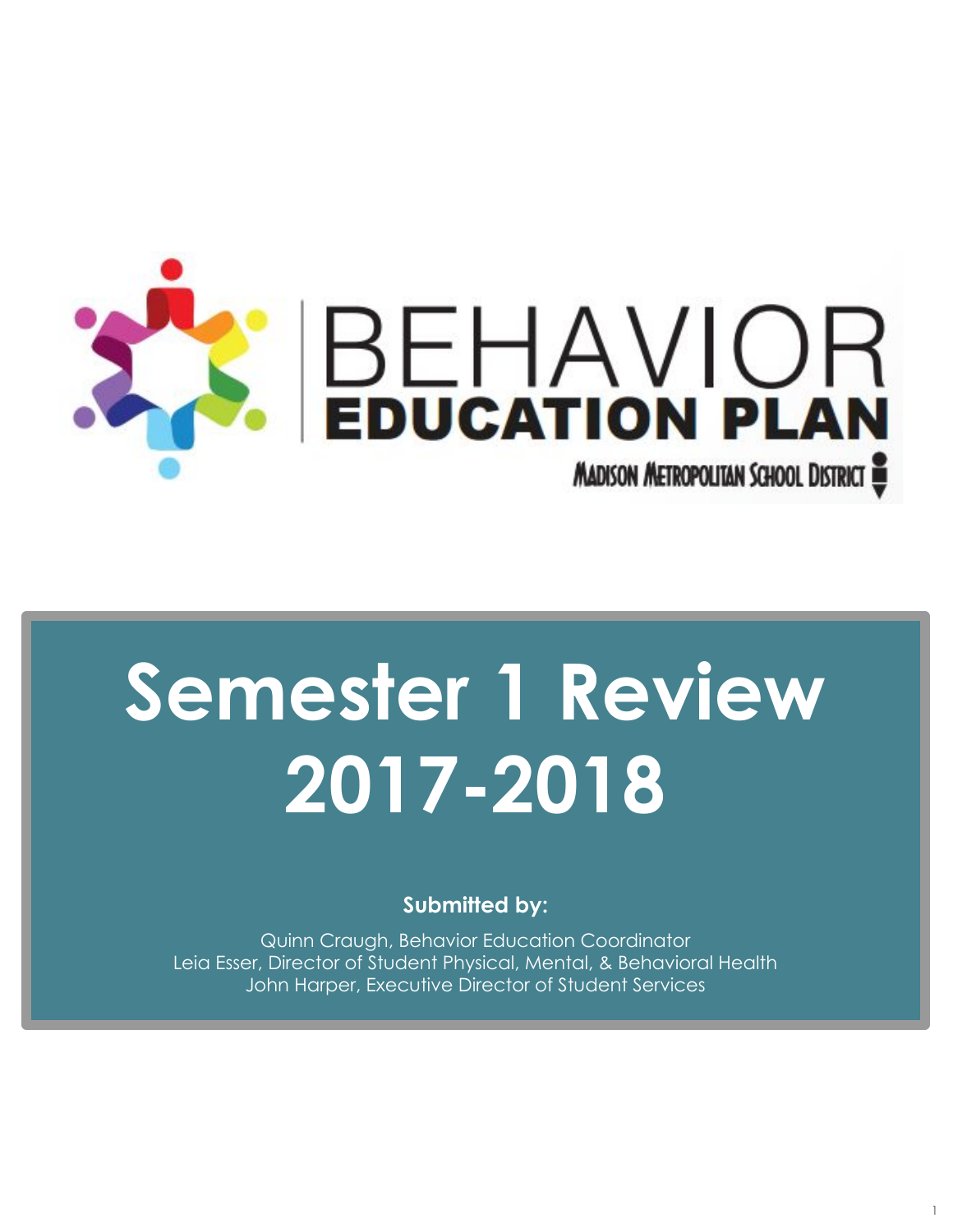

# **Semester 1 Review 2017-2018**

**Submitted by:** 

Quinn Craugh, Behavior Education Coordinator Leia Esser, Director of Student Physical, Mental, & Behavioral Health John Harper, Executive Director of Student Services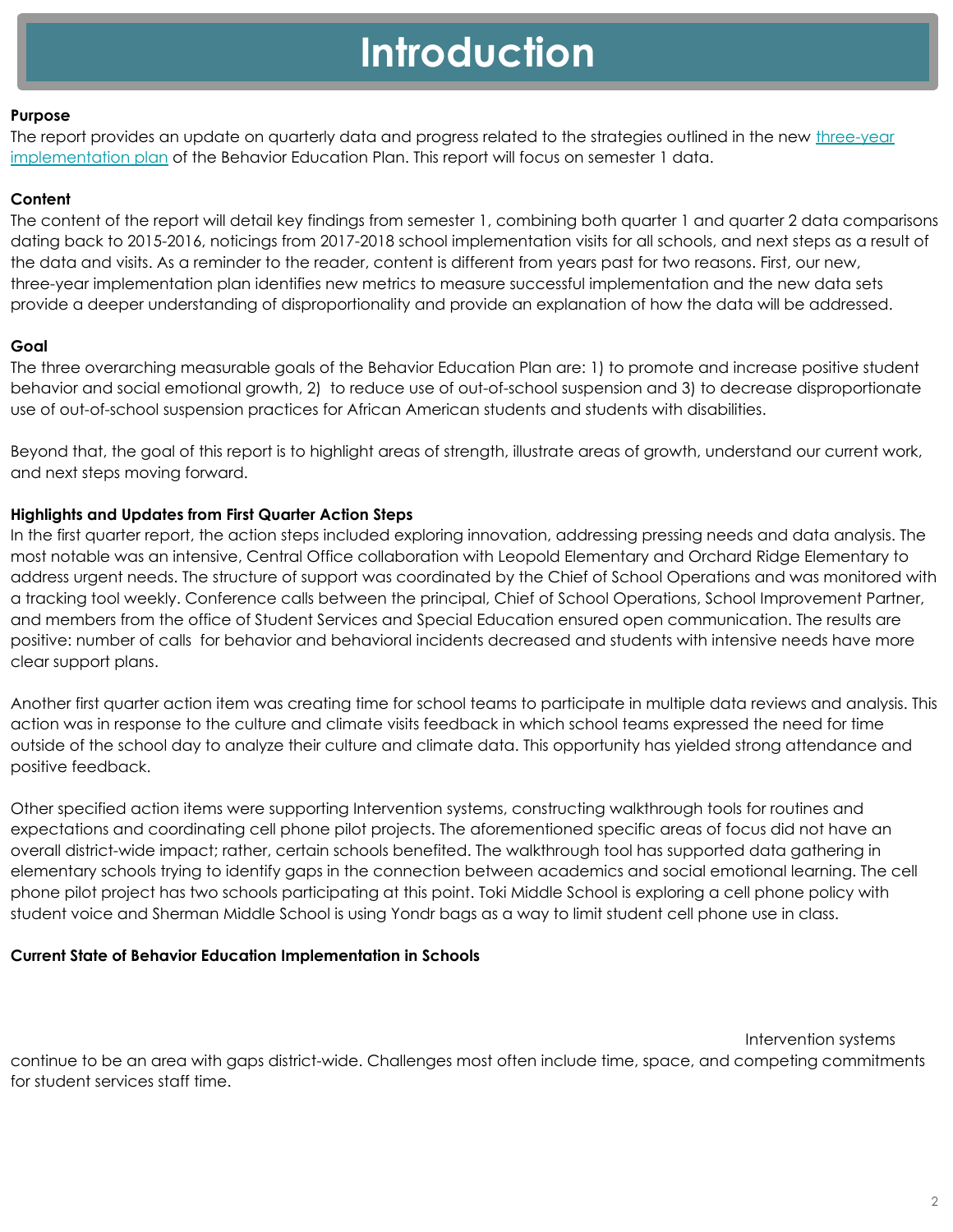# **Introduction**

#### **Purpose**

The report provides an update on quarterly data and progress related to the strategies outlined in the new three-year [implementation plan](https://docs.google.com/document/d/1XLOP-U06zpLyqYx39WtV3YjqiYKtlGx9fW6WtMkdemQ/edit?usp=sharing) of the Behavior Education Plan. This report will focus on semester 1 data.

#### **Content**

The content of the report will detail key findings from semester 1, combining both quarter 1 and quarter 2 data comparisons dating back to 2015-2016, noticings from 2017-2018 school implementation visits for all schools, and next steps as a result of the data and visits. As a reminder to the reader, content is different from years past for two reasons. First, our new, three-year implementation plan identifies new metrics to measure successful implementation and the new data sets provide a deeper understanding of disproportionality and provide an explanation of how the data will be addressed.

#### **Goal**

The three overarching measurable goals of the Behavior Education Plan are: 1) to promote and increase positive student behavior and social emotional growth, 2) to reduce use of out-of-school suspension and 3) to decrease disproportionate use of out-of-school suspension practices for African American students and students with disabilities.

Beyond that, the goal of this report is to highlight areas of strength, illustrate areas of growth, understand our current work, and next steps moving forward.

#### **Highlights and Updates from First Quarter Action Steps**

In the first quarter report, the action steps included exploring innovation, addressing pressing needs and data analysis. The most notable was an intensive, Central Office collaboration with Leopold Elementary and Orchard Ridge Elementary to address urgent needs. The structure of support was coordinated by the Chief of School Operations and was monitored with a tracking tool weekly. Conference calls between the principal, Chief of School Operations, School Improvement Partner, and members from the office of Student Services and Special Education ensured open communication. The results are positive: number of calls for behavior and behavioral incidents decreased and students with intensive needs have more clear support plans.

Another first quarter action item was creating time for school teams to participate in multiple data reviews and analysis. This action was in response to the culture and climate visits feedback in which school teams expressed the need for time outside of the school day to analyze their culture and climate data. This opportunity has yielded strong attendance and positive feedback.

Other specified action items were supporting Intervention systems, constructing walkthrough tools for routines and expectations and coordinating cell phone pilot projects. The aforementioned specific areas of focus did not have an overall district-wide impact; rather, certain schools benefited. The walkthrough tool has supported data gathering in elementary schools trying to identify gaps in the connection between academics and social emotional learning. The cell phone pilot project has two schools participating at this point. Toki Middle School is exploring a cell phone policy with student voice and Sherman Middle School is using Yondr bags as a way to limit student cell phone use in class.

#### **Current State of Behavior Education Implementation in Schools**

Intervention systems

continue to be an area with gaps district-wide. Challenges most often include time, space, and competing commitments for student services staff time.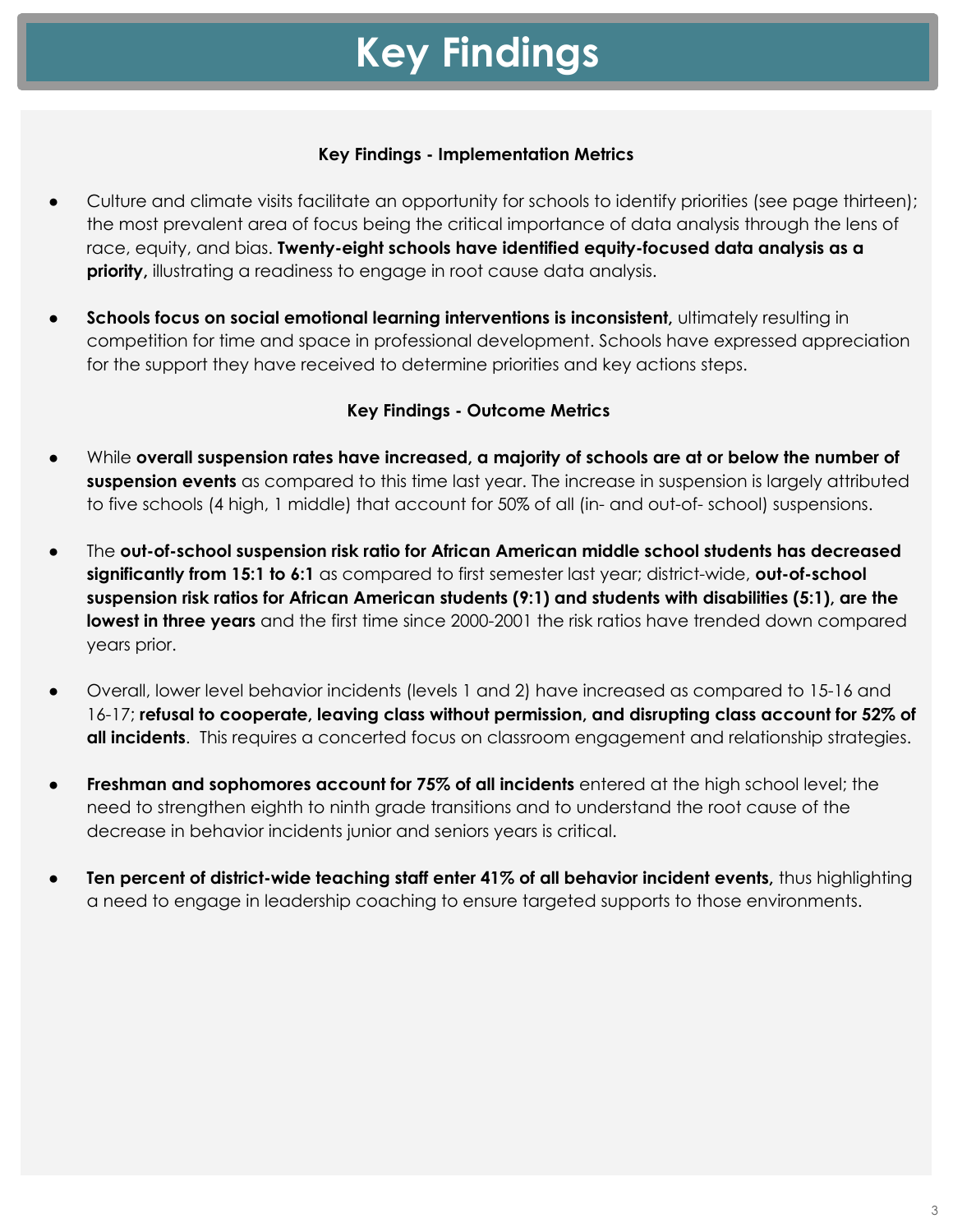# **Key Findings**

#### **Key Findings - Implementation Metrics**

- Culture and climate visits facilitate an opportunity for schools to identify priorities (see page thirteen); the most prevalent area of focus being the critical importance of data analysis through the lens of race, equity, and bias. **Twenty-eight schools have identified equity-focused data analysis as a priority,** illustrating a readiness to engage in root cause data analysis.
- Schools focus on social emotional learning interventions is inconsistent, ultimately resulting in competition for time and space in professional development. Schools have expressed appreciation for the support they have received to determine priorities and key actions steps.

### **Key Findings - Outcome Metrics**

- While **overall suspension rates have increased, a majority of schools are at or below the number of suspension events** as compared to this time last year. The increase in suspension is largely attributed to five schools (4 high, 1 middle) that account for 50% of all (in- and out-of- school) suspensions.
- The **out-of-school suspension risk ratio for African American middle school students has decreased significantly from 15:1 to 6:1** as compared to first semester last year; district-wide, **out-of-school suspension risk ratios for African American students (9:1) and students with disabilities (5:1), are the lowest in three years** and the first time since 2000-2001 the risk ratios have trended down compared years prior.
- Overall, lower level behavior incidents (levels 1 and 2) have increased as compared to 15-16 and 16-17; **refusal to cooperate, leaving class without permission, and disrupting class account for 52% of all incidents**. This requires a concerted focus on classroom engagement and relationship strategies.
- **Freshman and sophomores account for 75% of all incidents** entered at the high school level; the need to strengthen eighth to ninth grade transitions and to understand the root cause of the decrease in behavior incidents junior and seniors years is critical.
- **Ten percent of district-wide teaching staff enter 41% of all behavior incident events, thus highlighting** a need to engage in leadership coaching to ensure targeted supports to those environments.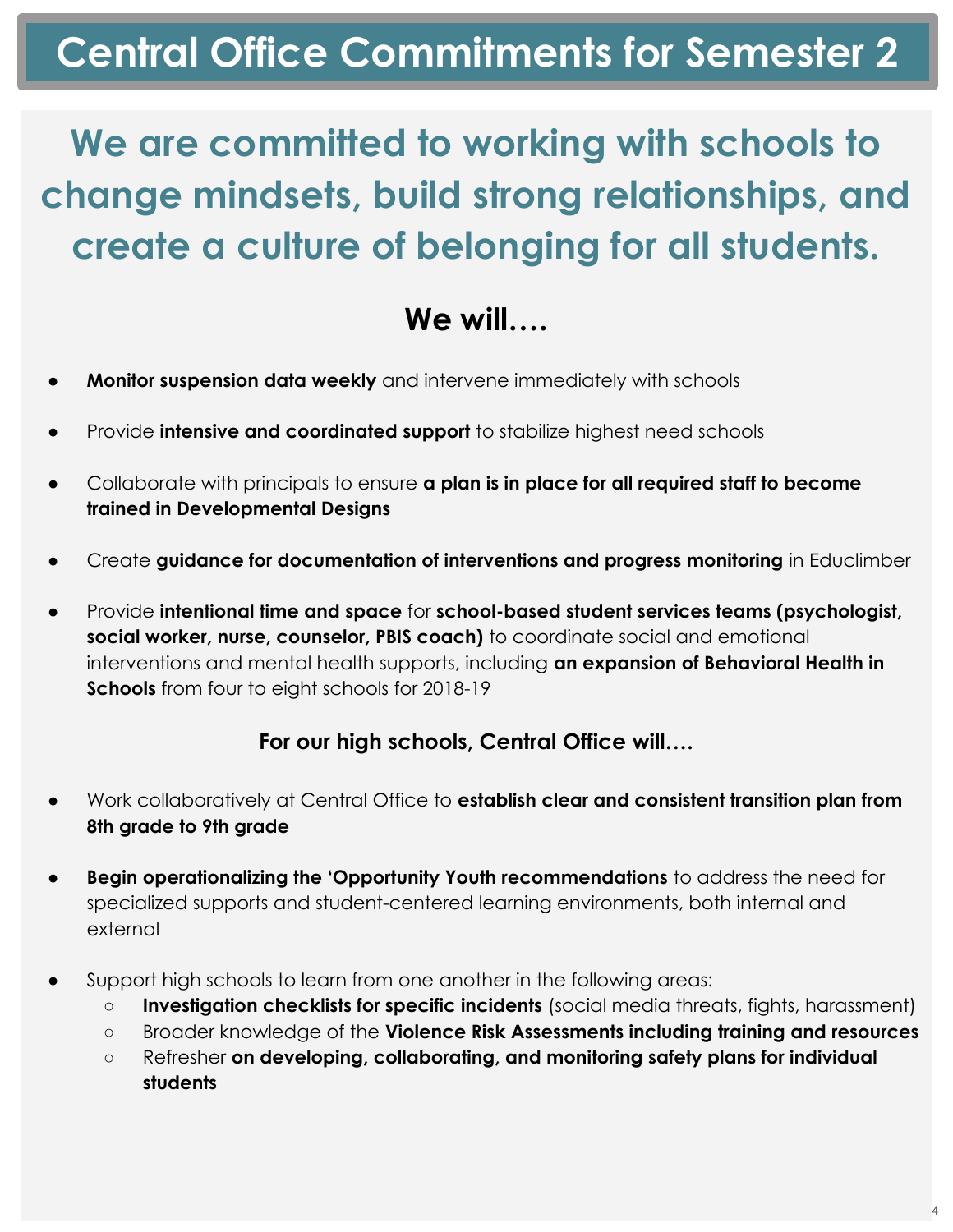# **Central Office Commitments for Semester 2**

# **We are committed to working with schools to change mindsets, build strong relationships, and create a culture of belonging for all students.**

# **We will….**

- **Monitor suspension data weekly** and intervene immediately with schools
- Provide **intensive and coordinated support** to stabilize highest need schools
- **●** Collaborate with principals to ensure **a plan is in place for all required staff to become trained in Developmental Designs**
- **●** Create **guidance for documentation of interventions and progress monitoring** in Educlimber
- Provide **intentional time and space** for **school-based student services teams (psychologist, social worker, nurse, counselor, PBIS coach)** to coordinate social and emotional interventions and mental health supports, including **an expansion of Behavioral Health in Schools** from four to eight schools for 2018-19

# **For our high schools, Central Office will….**

- Work collaboratively at Central Office to **establish clear and consistent transition plan from 8th grade to 9th grade**
- **Begin operationalizing the 'Opportunity Youth recommendations** to address the need for specialized supports and student-centered learning environments, both internal and external
- Support high schools to learn from one another in the following areas:
	- **Investigation checklists for specific incidents** (social media threats, fights, harassment)
	- Broader knowledge of the **Violence Risk Assessments including training and resources**
	- Refresher **on developing, collaborating, and monitoring safety plans for individual students**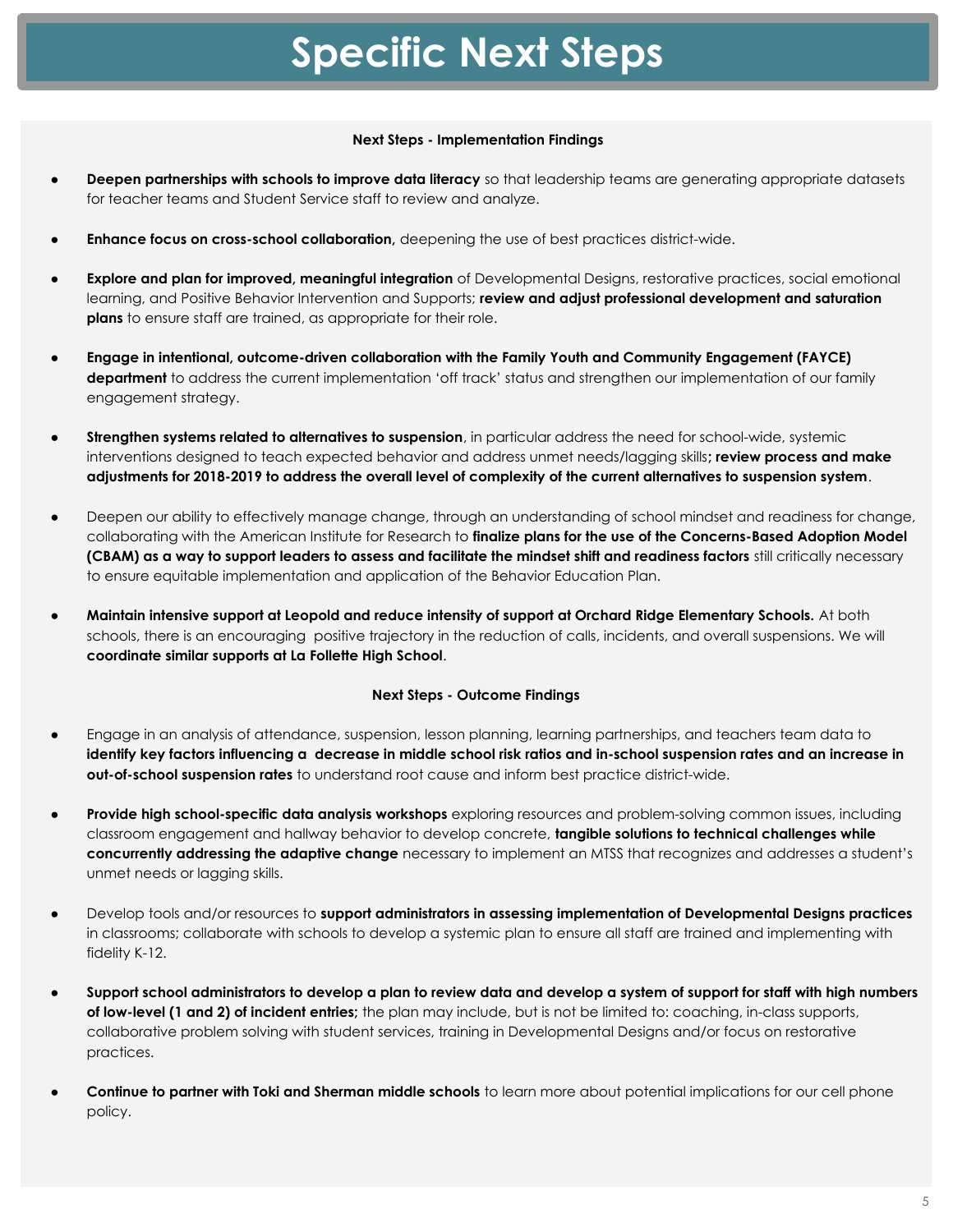# **Specific Next Steps**

#### **Next Steps - Implementation Findings**

- **Deepen partnerships with schools to improve data literacy** so that leadership teams are generating appropriate datasets for teacher teams and Student Service staff to review and analyze.
- **Enhance focus on cross-school collaboration,** deepening the use of best practices district-wide.
- **Explore and plan for improved, meaningful integration** of Developmental Designs, restorative practices, social emotional learning, and Positive Behavior Intervention and Supports; **review and adjust professional development and saturation plans** to ensure staff are trained, as appropriate for their role.
- **Engage in intentional, outcome-driven collaboration with the Family Youth and Community Engagement (FAYCE) department** to address the current implementation 'off track' status and strengthen our implementation of our family engagement strategy.
- **Strengthen systems related to alternatives to suspension**, in particular address the need for school-wide, systemic interventions designed to teach expected behavior and address unmet needs/lagging skills**; review process and make adjustments for 2018-2019 to address the overall level of complexity of the current alternatives to suspension system**.
- Deepen our ability to effectively manage change, through an understanding of school mindset and readiness for change, collaborating with the American Institute for Research to **finalize plans for the use of the Concerns-Based Adoption Model (CBAM) as a way to support leaders to assess and facilitate the mindset shift and readiness factors** still critically necessary to ensure equitable implementation and application of the Behavior Education Plan.
- **Maintain intensive support at Leopold and reduce intensity of support at Orchard Ridge Elementary Schools.** At both schools, there is an encouraging positive trajectory in the reduction of calls, incidents, and overall suspensions. We will **coordinate similar supports at La Follette High School**.

#### **Next Steps - Outcome Findings**

- Engage in an analysis of attendance, suspension, lesson planning, learning partnerships, and teachers team data to **identify key factors influencing a decrease in middle school risk ratios and in-school suspension rates and an increase in out-of-school suspension rates** to understand root cause and inform best practice district-wide.
- **Provide high school-specific data analysis workshops** exploring resources and problem-solving common issues, including classroom engagement and hallway behavior to develop concrete, **tangible solutions to technical challenges while concurrently addressing the adaptive change** necessary to implement an MTSS that recognizes and addresses a student's unmet needs or lagging skills.
- Develop tools and/or resources to **support administrators in assessing implementation of Developmental Designs practices** in classrooms; collaborate with schools to develop a systemic plan to ensure all staff are trained and implementing with fidelity K-12.
- **Support school administrators to develop a plan to review data and develop a system of support for staff with high numbers of low-level (1 and 2) of incident entries;** the plan may include, but is not be limited to: coaching, in-class supports, collaborative problem solving with student services, training in Developmental Designs and/or focus on restorative practices.
- **Continue to partner with Toki and Sherman middle schools** to learn more about potential implications for our cell phone policy.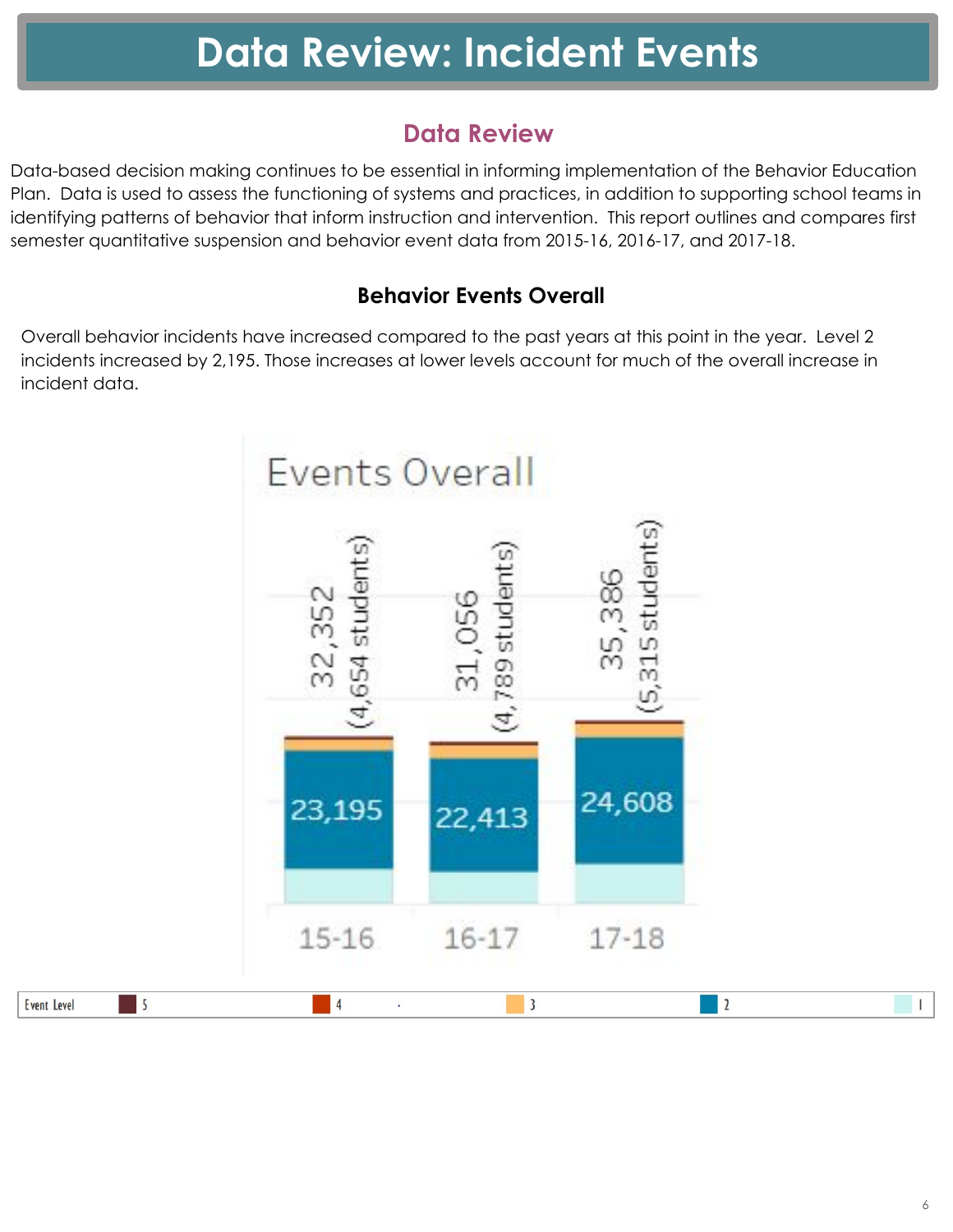# **Data Review**

Data-based decision making continues to be essential in informing implementation of the Behavior Education Plan. Data is used to assess the functioning of systems and practices, in addition to supporting school teams in identifying patterns of behavior that inform instruction and intervention. This report outlines and compares first semester quantitative suspension and behavior event data from 2015-16, 2016-17, and 2017-18.

# **Behavior Events Overall**

Overall behavior incidents have increased compared to the past years at this point in the year. Level 2 incidents increased by 2,195. Those increases at lower levels account for much of the overall increase in incident data.

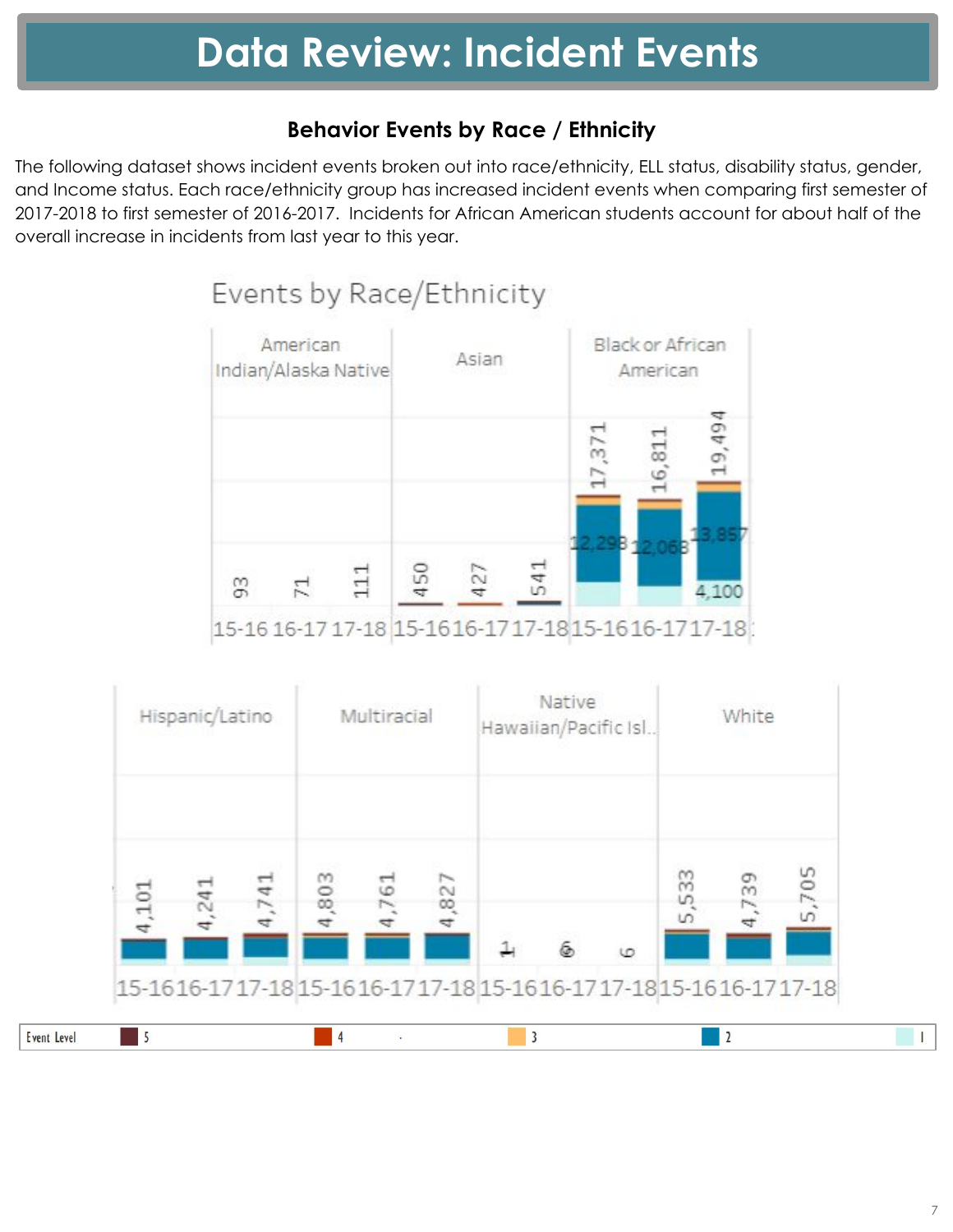# **Behavior Events by Race / Ethnicity**

The following dataset shows incident events broken out into race/ethnicity, ELL status, disability status, gender, and Income status. Each race/ethnicity group has increased incident events when comparing first semester of 2017-2018 to first semester of 2016-2017. Incidents for African American students account for about half of the overall increase in incidents from last year to this year.

# Events by Race/Ethnicity



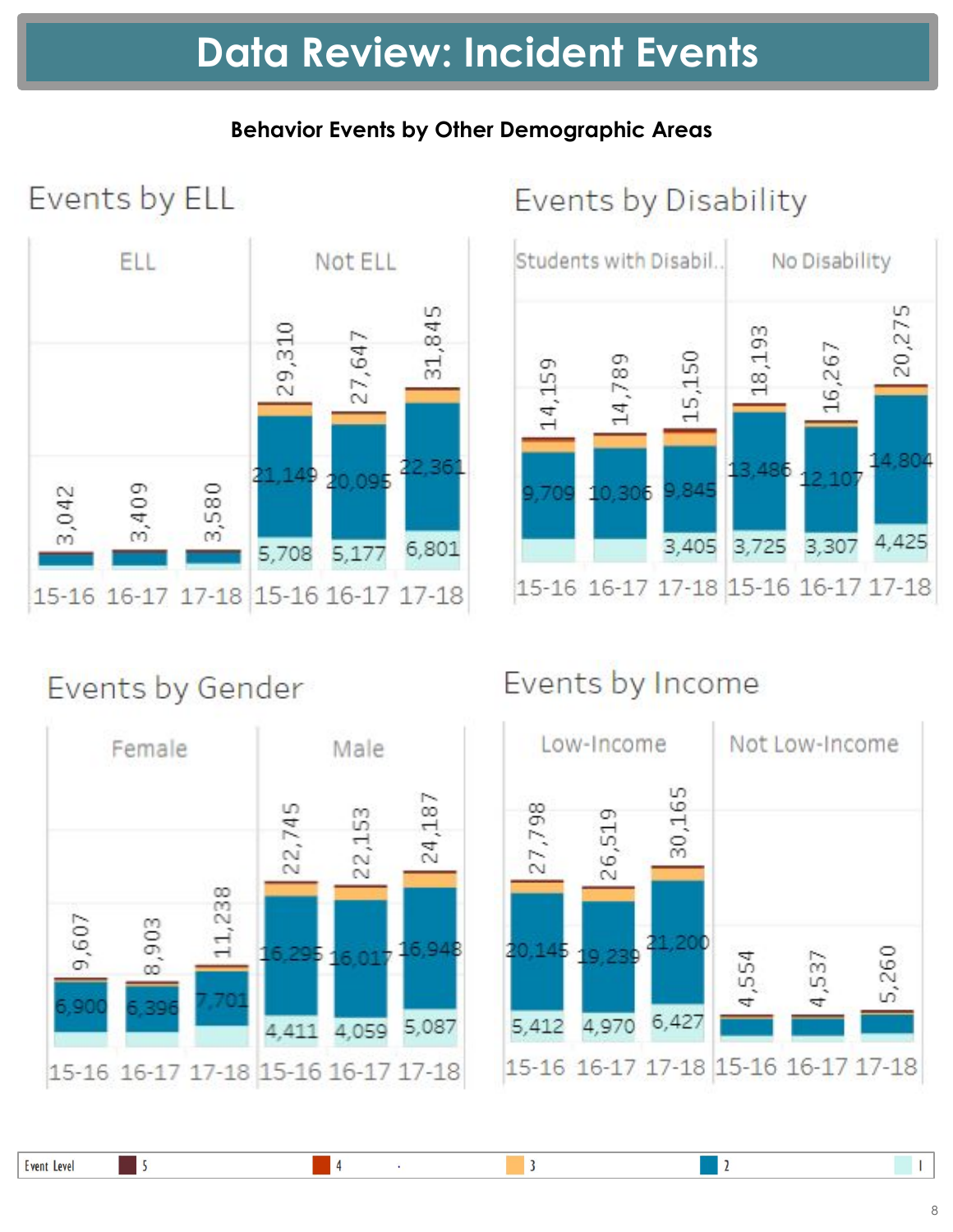# **Behavior Events by Other Demographic Areas**

**ELL** Not ELL 31,845 29,310 27,647 2.36 1149 0.09 3,580 3,409 3,042 6,801 5,708 5,177 15-16 16-17 17-18 15-16 16-17 17-18 Events by Disability



# Events by Gender

Events by ELL



# Events by Income



 $\overline{2}$ 

 $\blacksquare$ 

 $\vert 4$ 

 $\overline{\mathbf{3}}$ 

 $\blacksquare$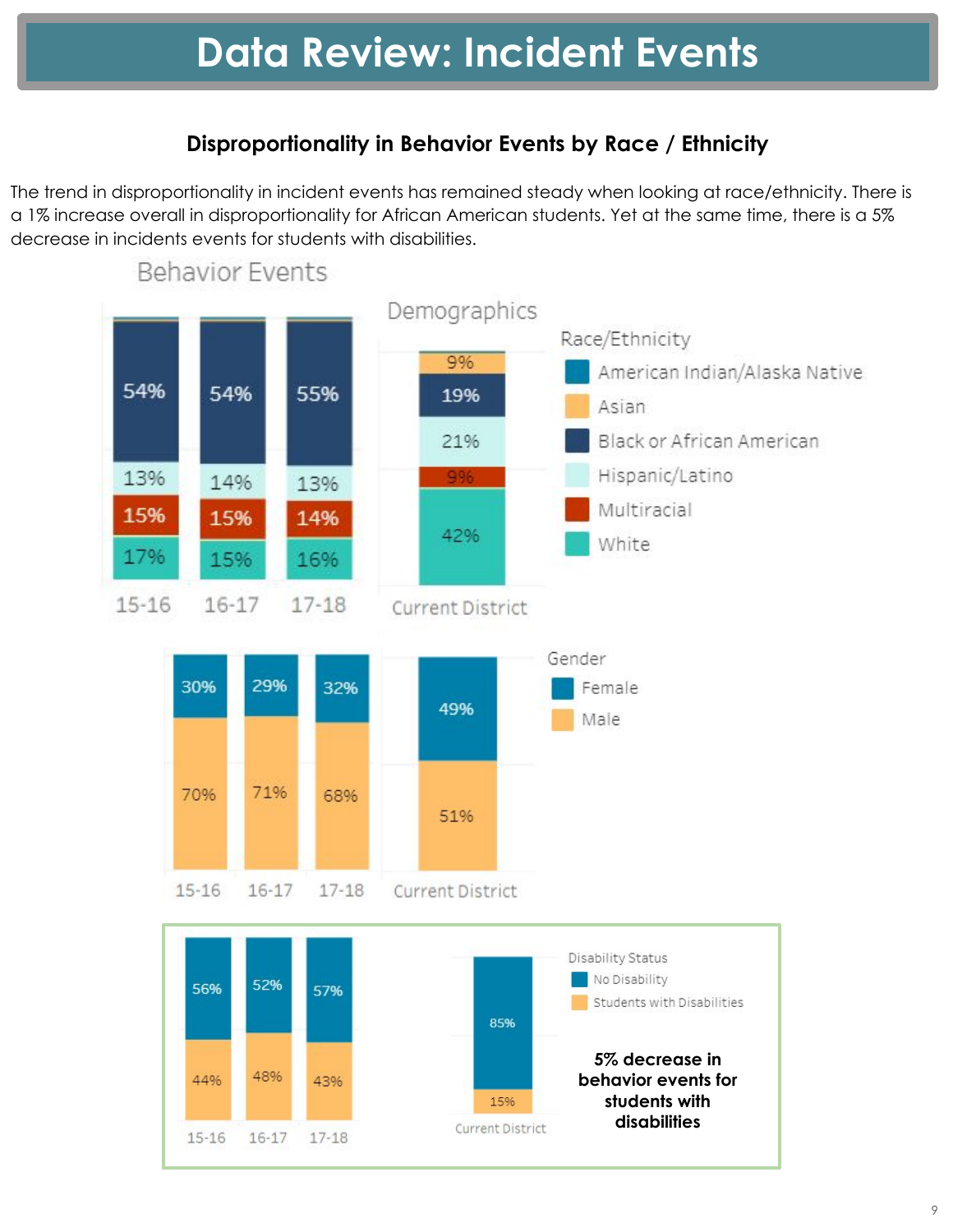# **Disproportionality in Behavior Events by Race / Ethnicity**

The trend in disproportionality in incident events has remained steady when looking at race/ethnicity. There is a 1% increase overall in disproportionality for African American students. Yet at the same time, there is a 5% decrease in incidents events for students with disabilities.

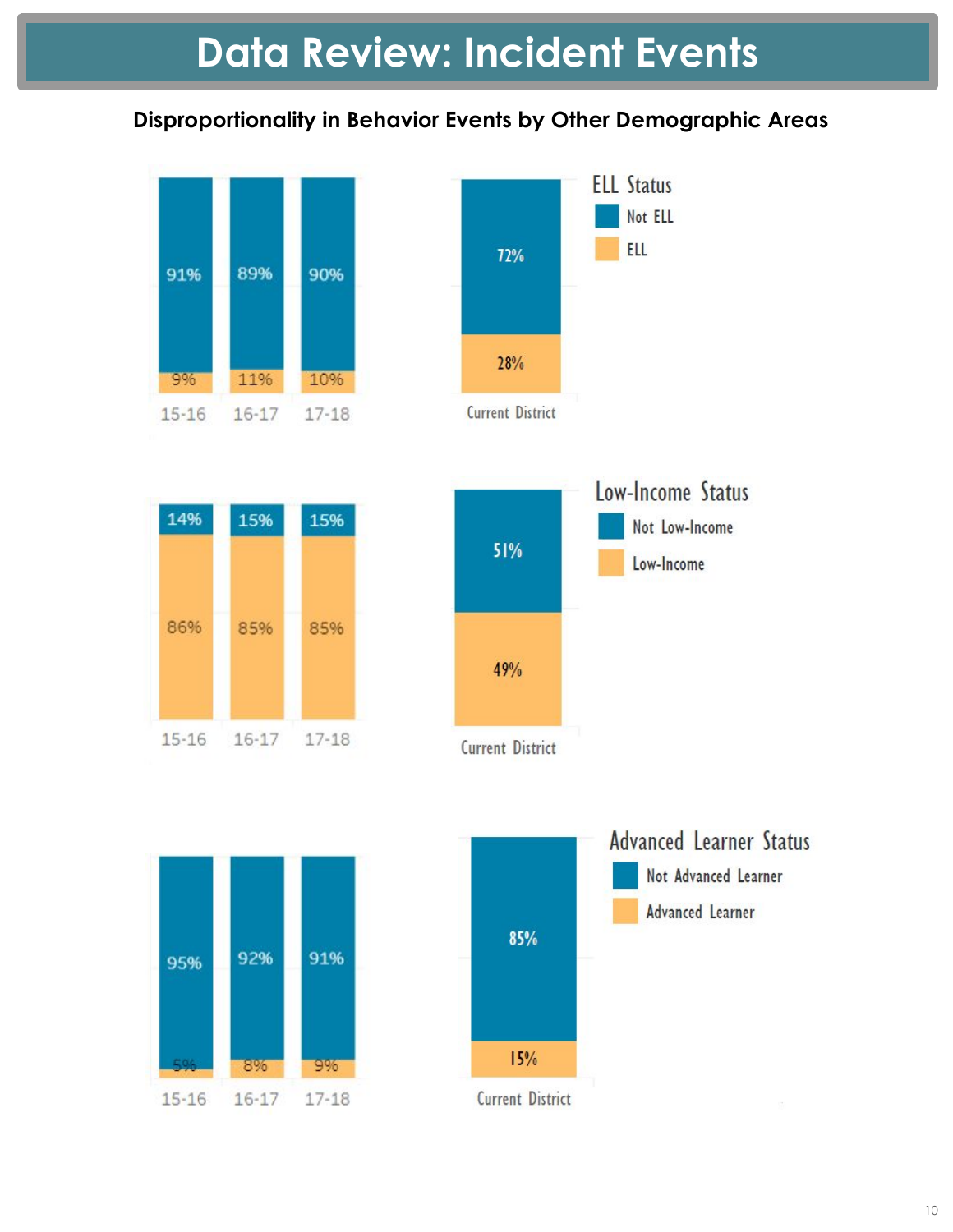# **Disproportionality in Behavior Events by Other Demographic Areas**











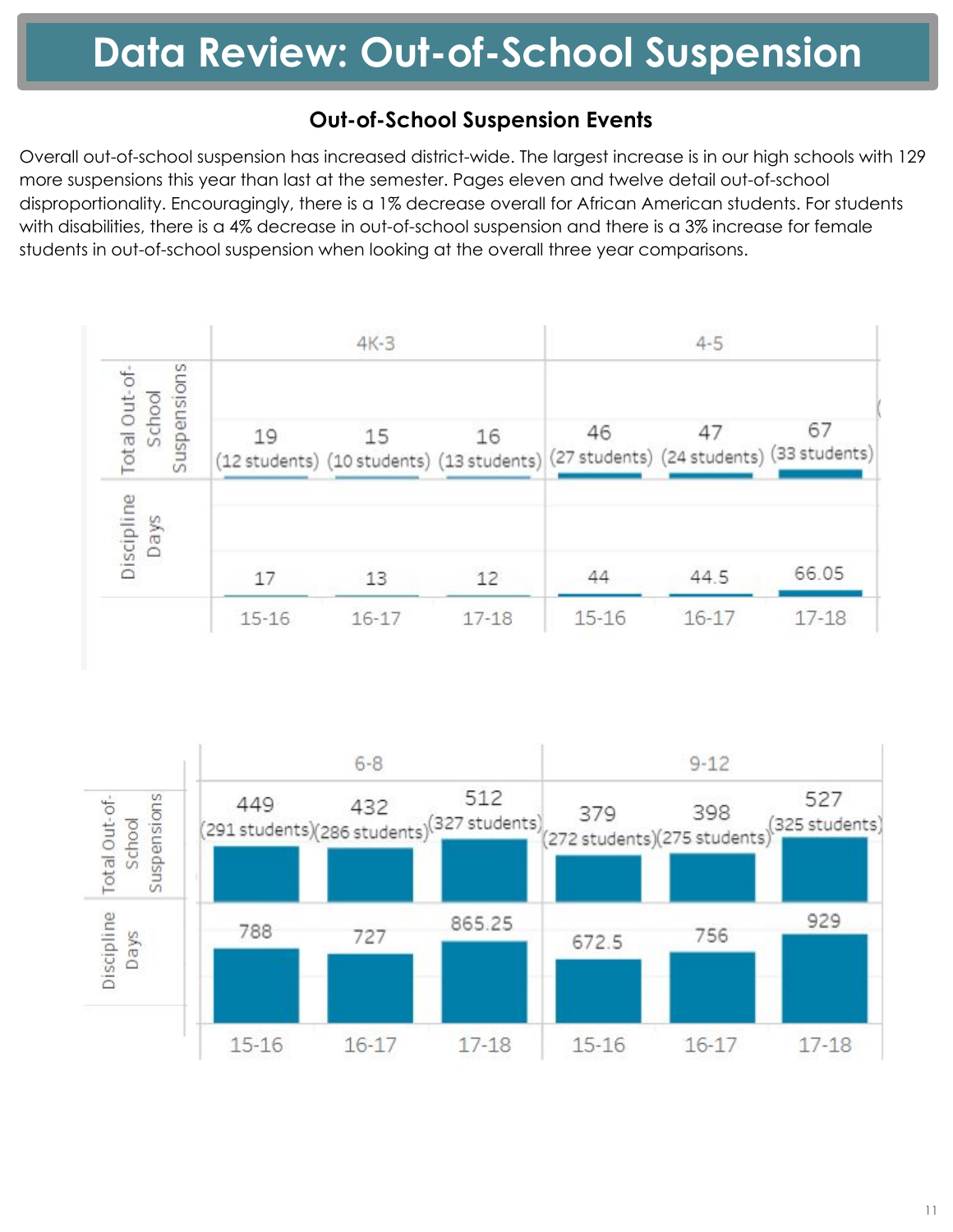# **Out-of-School Suspension Events**

Overall out-of-school suspension has increased district-wide. The largest increase is in our high schools with 129 more suspensions this year than last at the semester. Pages eleven and twelve detail out-of-school disproportionality. Encouragingly, there is a 1% decrease overall for African American students. For students with disabilities, there is a 4% decrease in out-of-school suspension and there is a 3% increase for female students in out-of-school suspension when looking at the overall three year comparisons.



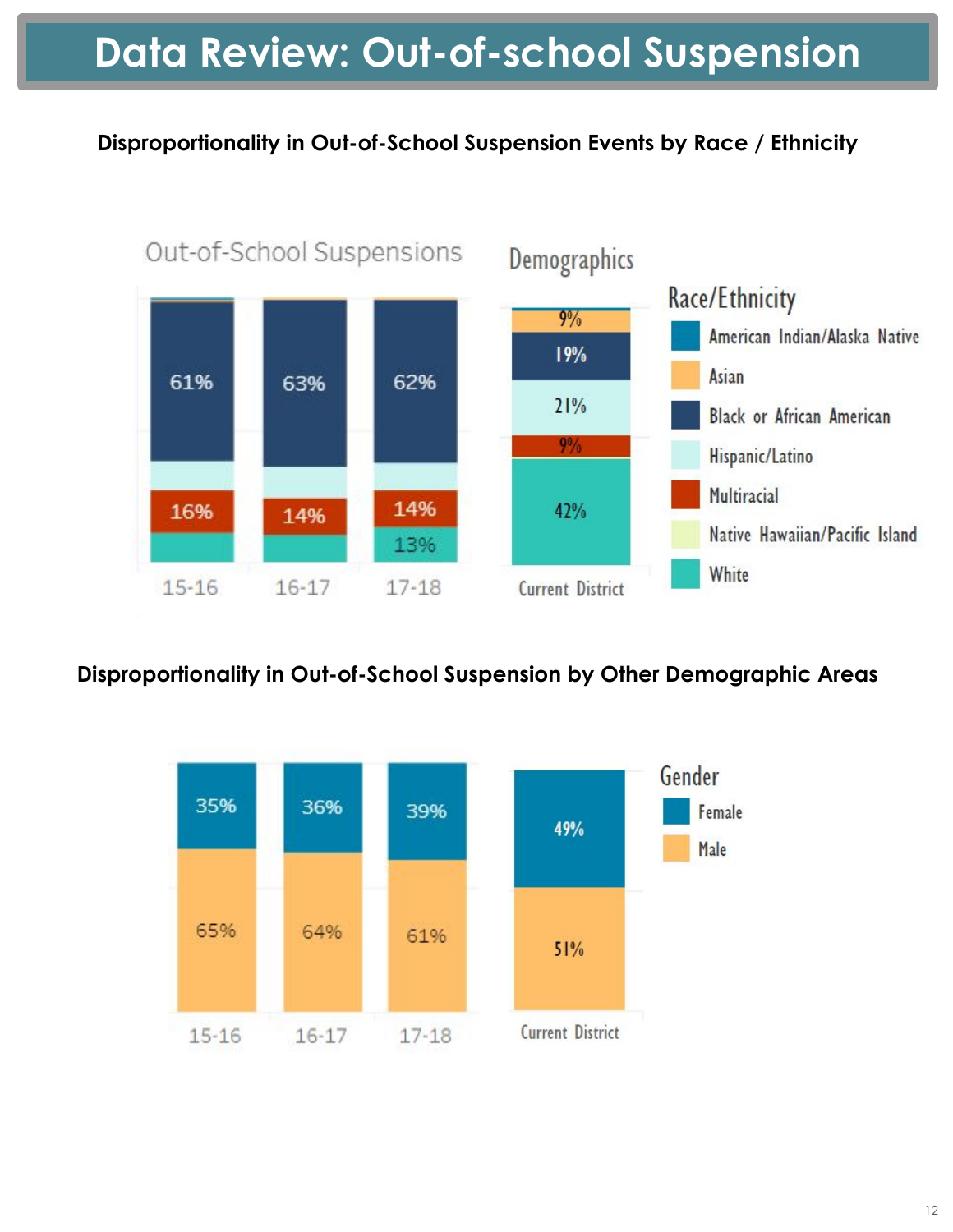# **Data Review: Out-of-school Suspension**

# **Disproportionality in Out-of-School Suspension Events by Race / Ethnicity**



# **Disproportionality in Out-of-School Suspension by Other Demographic Areas**

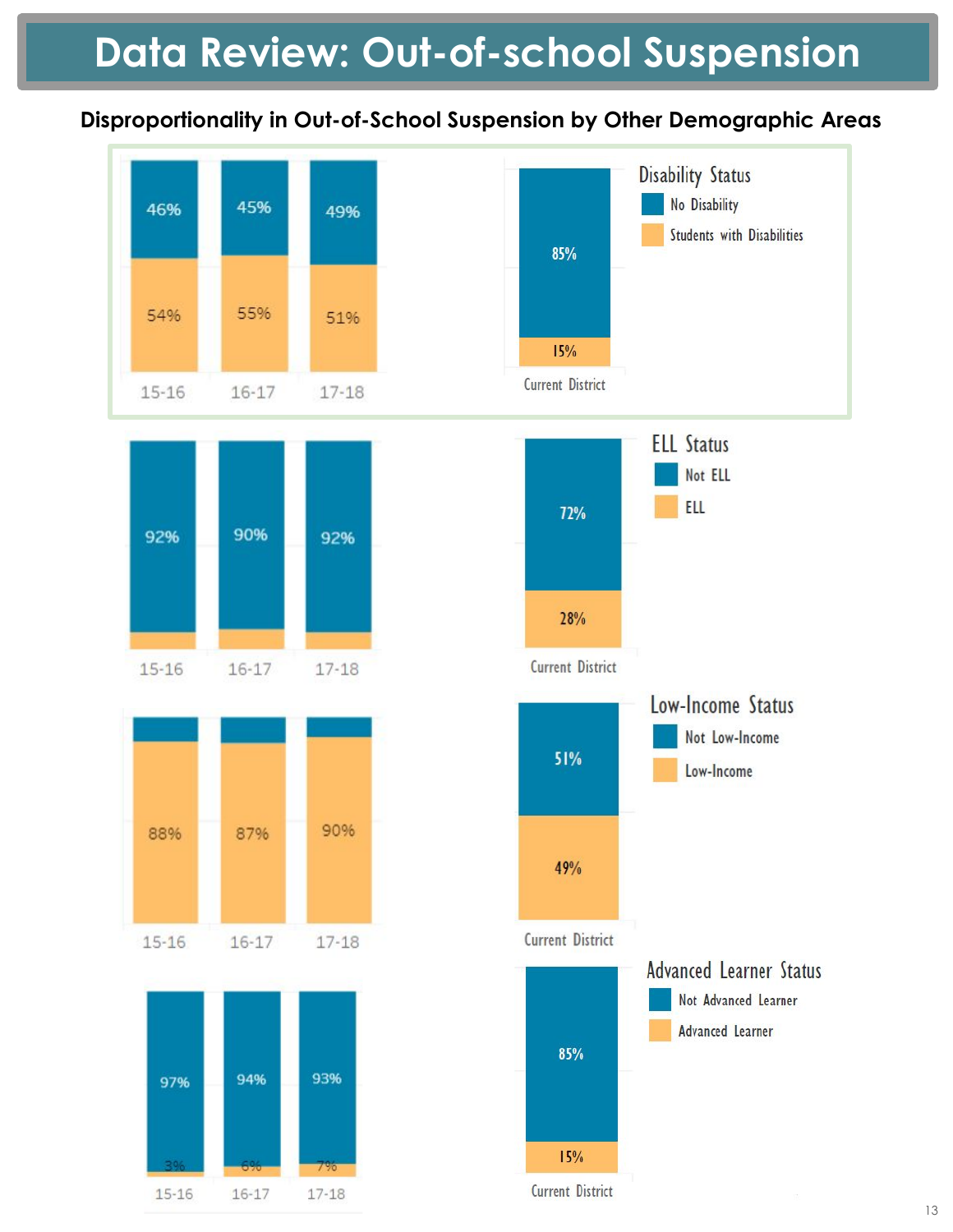# **Data Review: Out-of-school Suspension**

# **Disproportionality in Out-of-School Suspension by Other Demographic Areas**

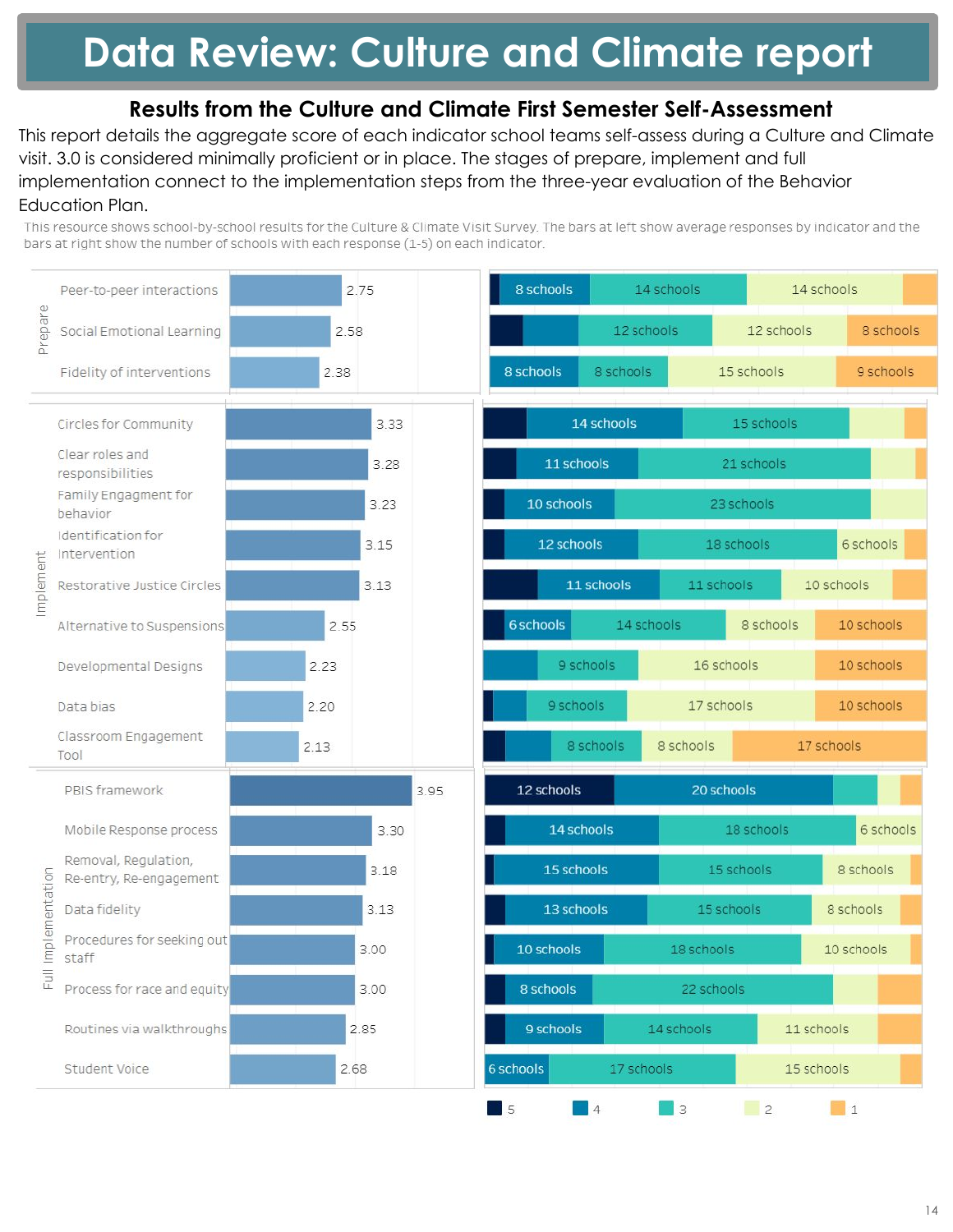# **Data Review: Culture and Climate report**

# **Results from the Culture and Climate First Semester Self-Assessment**

This report details the aggregate score of each indicator school teams self-assess during a Culture and Climate visit. 3.0 is considered minimally proficient or in place. The stages of prepare, implement and full implementation connect to the implementation steps from the three-year evaluation of the Behavior Education Plan.

This resource shows school-by-school results for the Culture & Climate Visit Survey. The bars at left show average responses by indicator and the bars at right show the number of schools with each response (1-5) on each indicator.

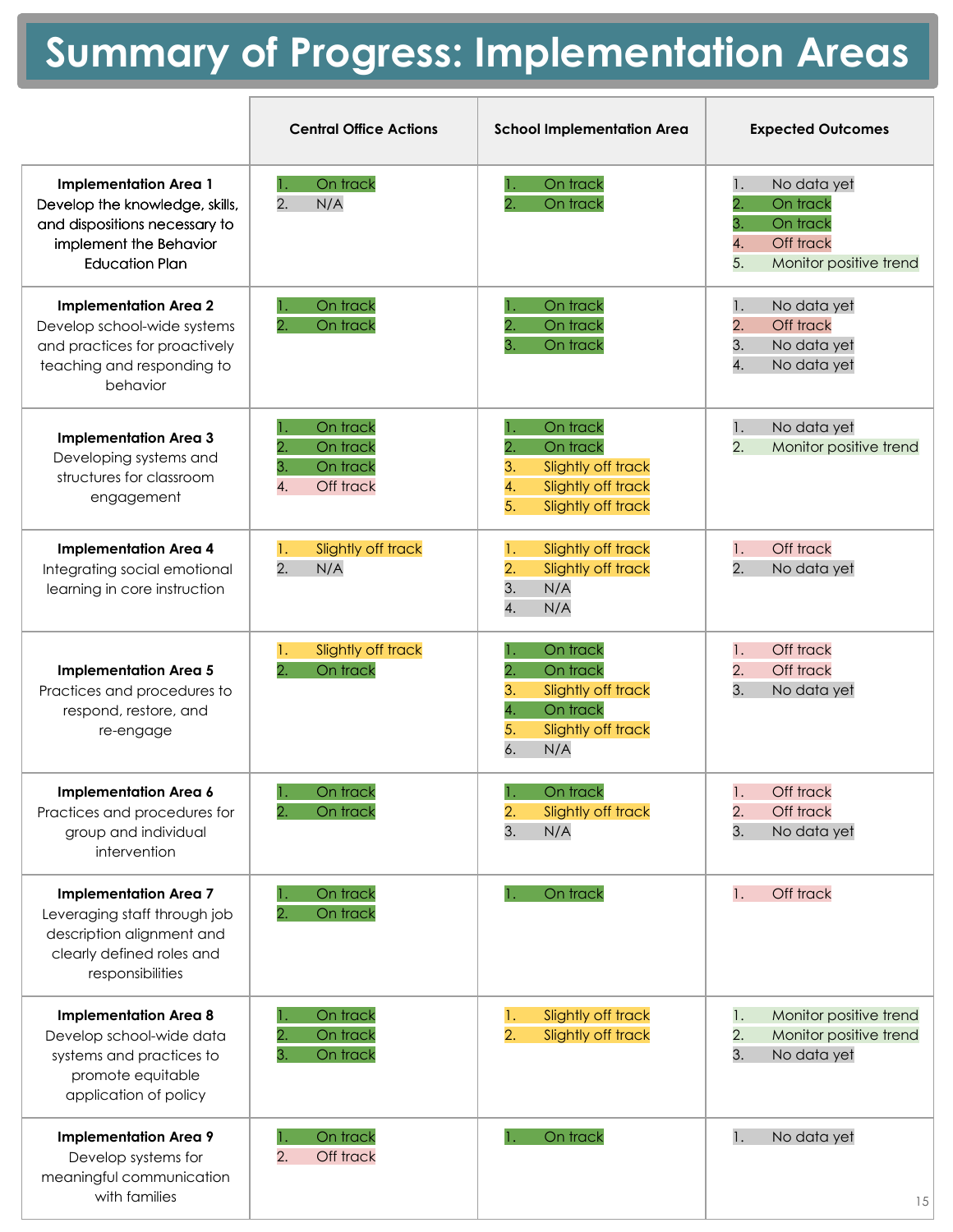# **Summary of Progress: Implementation Areas**

|                                                                                                                                                    | <b>Central Office Actions</b>                                   | <b>School Implementation Area</b>                                                                                 | <b>Expected Outcomes</b>                                                                                 |
|----------------------------------------------------------------------------------------------------------------------------------------------------|-----------------------------------------------------------------|-------------------------------------------------------------------------------------------------------------------|----------------------------------------------------------------------------------------------------------|
| <b>Implementation Area 1</b><br>Develop the knowledge, skills,<br>and dispositions necessary to<br>implement the Behavior<br><b>Education Plan</b> | On track<br>2.<br>N/A                                           | On track<br>On track                                                                                              | 1.<br>No data yet<br>2.<br>On track<br>3.<br>On track<br>4.<br>Off track<br>5.<br>Monitor positive trend |
| <b>Implementation Area 2</b><br>Develop school-wide systems<br>and practices for proactively<br>teaching and responding to<br>behavior             | On track<br>2.<br>On track                                      | On track<br>2.<br>On track<br>3.<br>On track                                                                      | No data yet<br>1.<br>$\overline{2}$ .<br>Off track<br>3.<br>No data yet<br>4.<br>No data yet             |
| <b>Implementation Area 3</b><br>Developing systems and<br>structures for classroom<br>engagement                                                   | On track<br>2.<br>On track<br>3.<br>On track<br>4.<br>Off track | On track<br>2.<br>On track<br>3.<br>Slightly off track<br>4.<br>Slightly off track<br>5.<br>Slightly off track    | No data yet<br>$\mathbf{l}$ .<br>$\overline{2}$ .<br>Monitor positive trend                              |
| <b>Implementation Area 4</b><br>Integrating social emotional<br>learning in core instruction                                                       | Slightly off track<br>1.<br>2.<br>N/A                           | Slightly off track<br>1.<br>2.<br>Slightly off track<br>3.<br>N/A<br>4.<br>N/A                                    | Off track<br>1.<br>$\overline{2}$ .<br>No data yet                                                       |
| <b>Implementation Area 5</b><br>Practices and procedures to<br>respond, restore, and<br>re-engage                                                  | Slightly off track<br>1.<br>$\overline{2}$<br>On track          | On track<br>On track<br>2.<br>3.<br>Slightly off track<br>4.<br>On track<br>5.<br>Slightly off track<br>6.<br>N/A | Off track<br>1.<br>2.<br>Off track<br>3.<br>No data yet                                                  |
| Implementation Area 6<br>Practices and procedures for<br>group and individual<br>intervention                                                      | On track<br>$\overline{2}$ .<br>On track                        | On track<br>л,<br>2.<br>Slightly off track<br>3.<br>N/A                                                           | Off track<br>1.<br>2.<br>Off track<br>3.<br>No data yet                                                  |
| <b>Implementation Area 7</b><br>Leveraging staff through job<br>description alignment and<br>clearly defined roles and<br>responsibilities         | On track<br>On track                                            | On track                                                                                                          | Off track<br>1.                                                                                          |
| <b>Implementation Area 8</b><br>Develop school-wide data<br>systems and practices to<br>promote equitable<br>application of policy                 | On track<br>On track<br>3.<br>On track                          | Slightly off track<br>1.<br>$\overline{2}$ .<br>Slightly off track                                                | Monitor positive trend<br>1.<br>2.<br>Monitor positive trend<br>3.<br>No data yet                        |
| <b>Implementation Area 9</b><br>Develop systems for<br>meaningful communication<br>with families                                                   | On track<br>2.<br>Off track                                     | On track                                                                                                          | 1.<br>No data yet<br>15                                                                                  |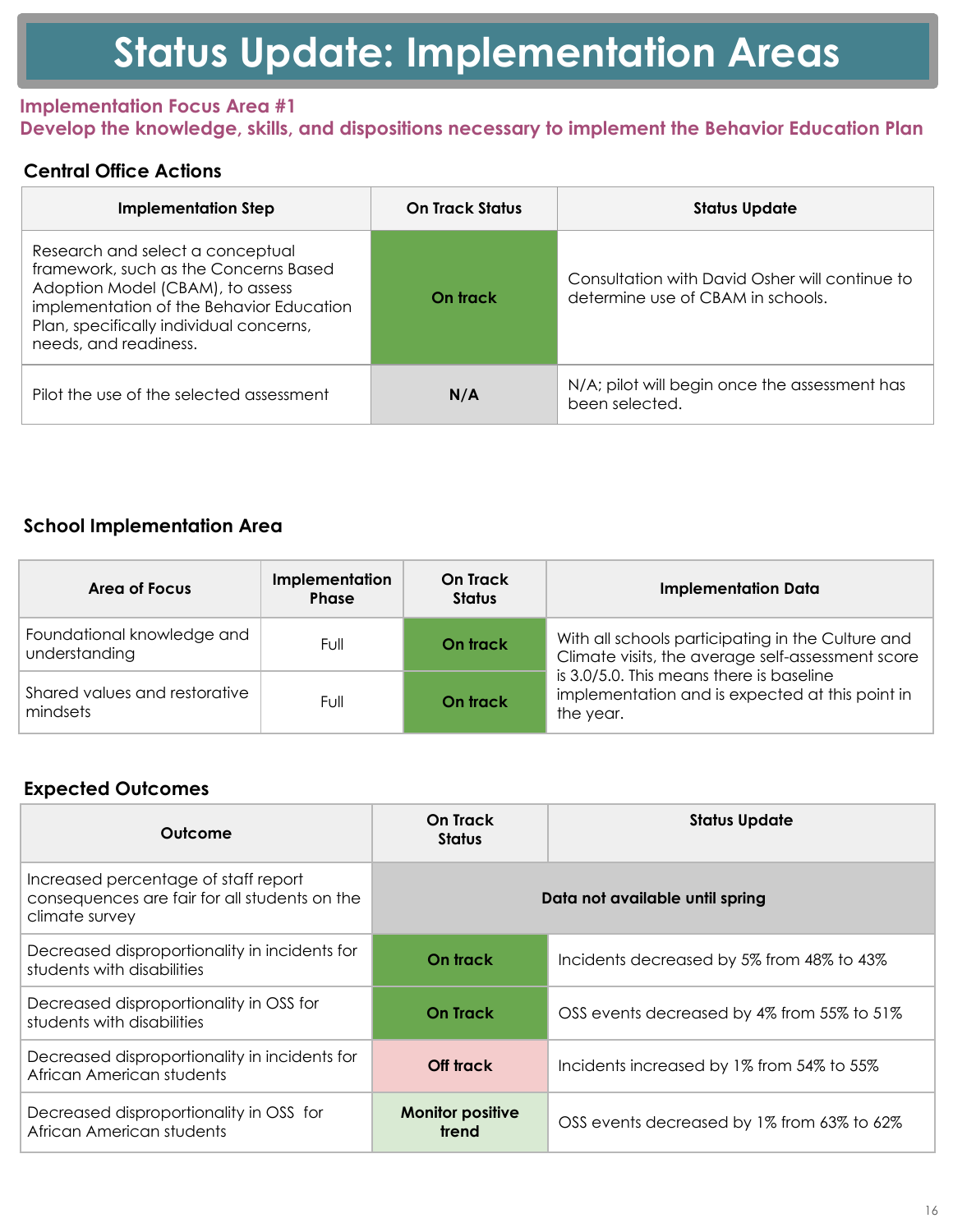### **Implementation Focus Area #1 Develop the knowledge, skills, and dispositions necessary to implement the Behavior Education Plan**

### **Central Office Actions**

| Implementation Step                                                                                                                                                                                                           | <b>On Track Status</b> | <b>Status Update</b>                                                                |
|-------------------------------------------------------------------------------------------------------------------------------------------------------------------------------------------------------------------------------|------------------------|-------------------------------------------------------------------------------------|
| Research and select a conceptual<br>framework, such as the Concerns Based<br>Adoption Model (CBAM), to assess<br>implementation of the Behavior Education<br>Plan, specifically individual concerns,<br>needs, and readiness. | On track               | Consultation with David Osher will continue to<br>determine use of CBAM in schools. |
| Pilot the use of the selected assessment                                                                                                                                                                                      | N/A                    | N/A; pilot will begin once the assessment has<br>been selected.                     |

### **School Implementation Area**

| Area of Focus                               | Implementation<br><b>Phase</b> | On Track<br><b>Status</b> | <b>Implementation Data</b>                                                                               |
|---------------------------------------------|--------------------------------|---------------------------|----------------------------------------------------------------------------------------------------------|
| Foundational knowledge and<br>understanding | Full                           | On track                  | With all schools participating in the Culture and<br>Climate visits, the average self-assessment score   |
| Shared values and restorative<br>mindsets   | Full                           | On track                  | is 3.0/5.0. This means there is baseline<br>implementation and is expected at this point in<br>the year. |

| Outcome                                                                                                 | <b>On Track</b><br><b>Status</b> | <b>Status Update</b>                       |
|---------------------------------------------------------------------------------------------------------|----------------------------------|--------------------------------------------|
| Increased percentage of staff report<br>consequences are fair for all students on the<br>climate survey | Data not available until spring  |                                            |
| Decreased disproportionality in incidents for<br>students with disabilities                             | On track                         | Incidents decreased by 5% from 48% to 43%  |
| Decreased disproportionality in OSS for<br>students with disabilities                                   | <b>On Track</b>                  | OSS events decreased by 4% from 55% to 51% |
| Decreased disproportionality in incidents for<br>African American students                              | Off track                        | Incidents increased by 1% from 54% to 55%  |
| Decreased disproportionality in OSS for<br>African American students                                    | <b>Monitor positive</b><br>trend | OSS events decreased by 1% from 63% to 62% |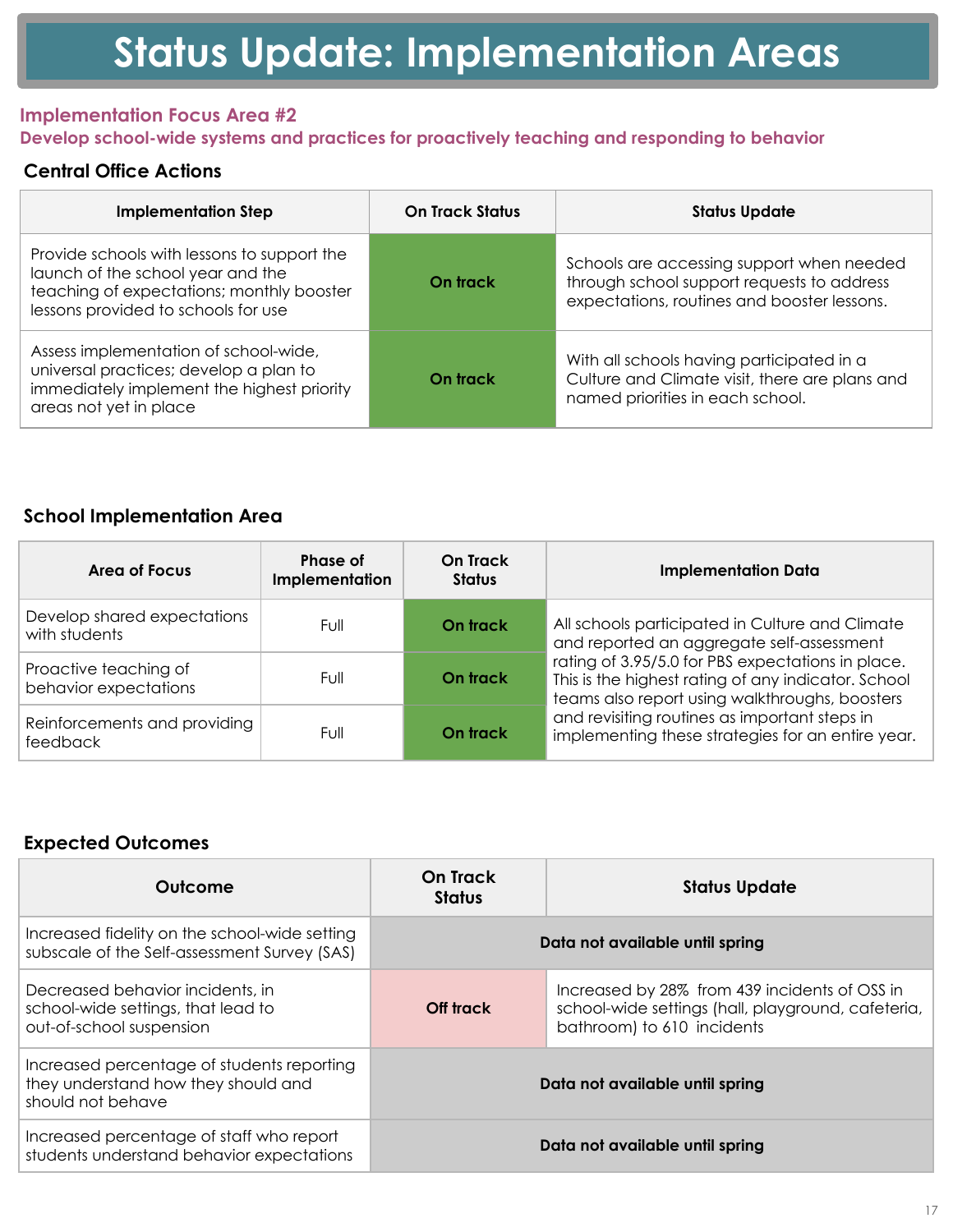#### **Implementation Focus Area #2 Develop school-wide systems and practices for proactively teaching and responding to behavior**

### **Central Office Actions**

| <b>Implementation Step</b>                                                                                                                                           | <b>On Track Status</b> | <b>Status Update</b>                                                                                                                   |
|----------------------------------------------------------------------------------------------------------------------------------------------------------------------|------------------------|----------------------------------------------------------------------------------------------------------------------------------------|
| Provide schools with lessons to support the<br>launch of the school year and the<br>teaching of expectations; monthly booster<br>lessons provided to schools for use | On track               | Schools are accessing support when needed<br>through school support requests to address<br>expectations, routines and booster lessons. |
| Assess implementation of school-wide,<br>universal practices; develop a plan to<br>immediately implement the highest priority<br>areas not yet in place              | On track               | With all schools having participated in a<br>Culture and Climate visit, there are plans and<br>named priorities in each school.        |

### **School Implementation Area**

| Area of Focus                                  | Phase of<br>Implementation | On Track<br><b>Status</b> | <b>Implementation Data</b>                                                                                                                                 |
|------------------------------------------------|----------------------------|---------------------------|------------------------------------------------------------------------------------------------------------------------------------------------------------|
| Develop shared expectations<br>with students   | Full                       | On track                  | All schools participated in Culture and Climate<br>and reported an aggregate self-assessment                                                               |
| Proactive teaching of<br>behavior expectations | Full                       | On track                  | rating of 3.95/5.0 for PBS expectations in place.<br>This is the highest rating of any indicator. School<br>teams also report using walkthroughs, boosters |
| Reinforcements and providing<br>feedback       | Full                       | On track                  | and revisiting routines as important steps in<br>implementing these strategies for an entire year.                                                         |

| Outcome                                                                                                | On Track<br><b>Status</b>       | <b>Status Update</b>                                                                                                              |
|--------------------------------------------------------------------------------------------------------|---------------------------------|-----------------------------------------------------------------------------------------------------------------------------------|
| Increased fidelity on the school-wide setting<br>subscale of the Self-assessment Survey (SAS)          | Data not available until spring |                                                                                                                                   |
| Decreased behavior incidents, in<br>school-wide settings, that lead to<br>out-of-school suspension     | Off track                       | Increased by 28% from 439 incidents of OSS in<br>school-wide settings (hall, playground, cafeteria,<br>bathroom) to 610 incidents |
| Increased percentage of students reporting<br>they understand how they should and<br>should not behave |                                 | Data not available until spring                                                                                                   |
| Increased percentage of staff who report<br>students understand behavior expectations                  |                                 | Data not available until spring                                                                                                   |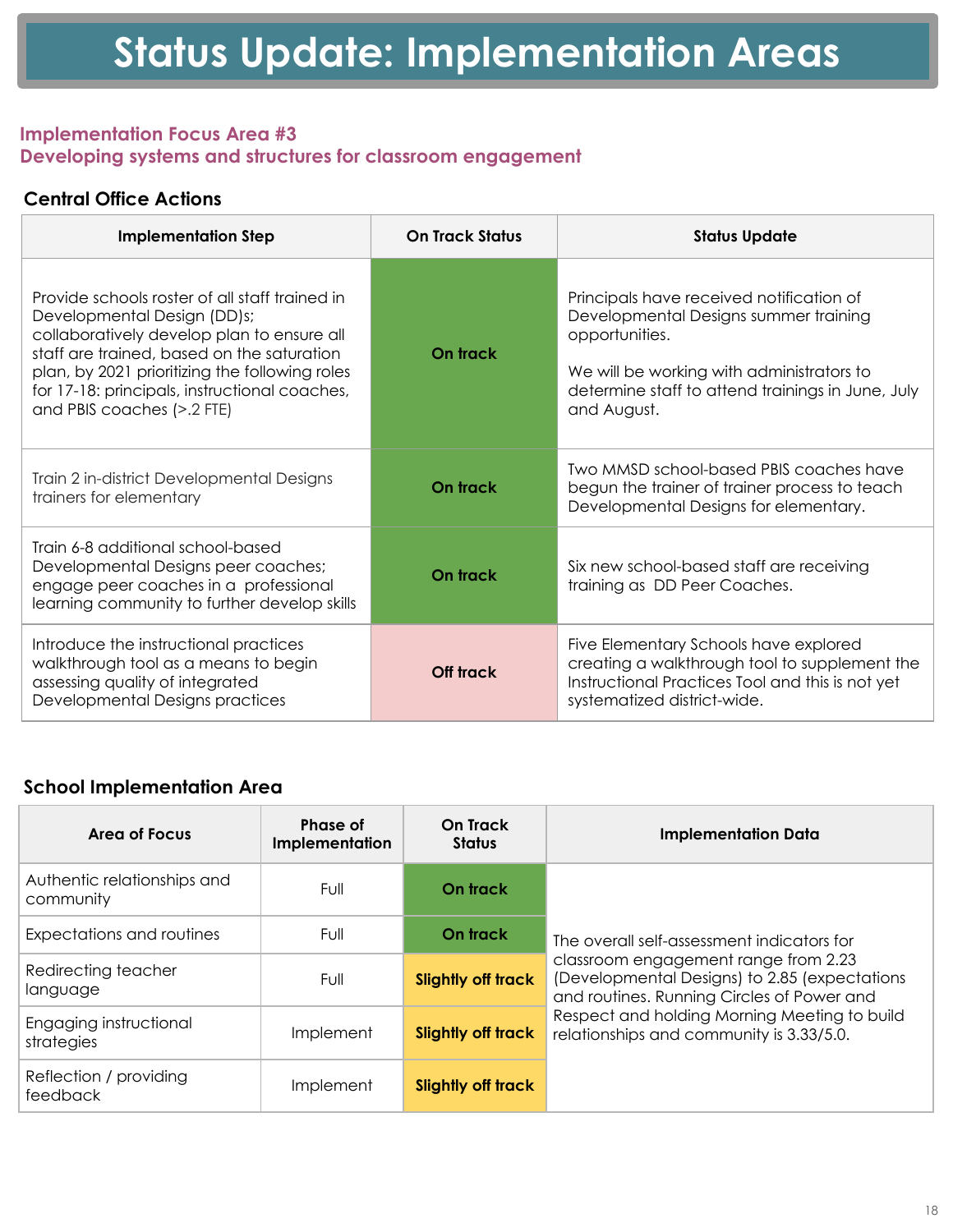### **Implementation Focus Area #3 Developing systems and structures for classroom engagement**

# **Central Office Actions**

| <b>Implementation Step</b>                                                                                                                                                                                                                                                                                 | <b>On Track Status</b> | <b>Status Update</b>                                                                                                                                                                                                 |
|------------------------------------------------------------------------------------------------------------------------------------------------------------------------------------------------------------------------------------------------------------------------------------------------------------|------------------------|----------------------------------------------------------------------------------------------------------------------------------------------------------------------------------------------------------------------|
| Provide schools roster of all staff trained in<br>Developmental Design (DD)s;<br>collaboratively develop plan to ensure all<br>staff are trained, based on the saturation<br>plan, by 2021 prioritizing the following roles<br>for 17-18: principals, instructional coaches,<br>and PBIS coaches (>.2 FTE) | On track               | Principals have received notification of<br>Developmental Designs summer training<br>opportunities.<br>We will be working with administrators to<br>determine staff to attend trainings in June, July<br>and August. |
| Train 2 in-district Developmental Designs<br>trainers for elementary                                                                                                                                                                                                                                       | On track               | Two MMSD school-based PBIS coaches have<br>begun the trainer of trainer process to teach<br>Developmental Designs for elementary.                                                                                    |
| Train 6-8 additional school-based<br>Developmental Designs peer coaches;<br>engage peer coaches in a professional<br>learning community to further develop skills                                                                                                                                          | On track               | Six new school-based staff are receiving<br>training as DD Peer Coaches.                                                                                                                                             |
| Introduce the instructional practices<br>walkthrough tool as a means to begin<br>assessing quality of integrated<br>Developmental Designs practices                                                                                                                                                        | Off track              | Five Elementary Schools have explored<br>creating a walkthrough tool to supplement the<br>Instructional Practices Tool and this is not yet<br>systematized district-wide.                                            |

# **School Implementation Area**

| Area of Focus                            | Phase of<br>Implementation | <b>On Track</b><br><b>Status</b> | <b>Implementation Data</b>                                                                                                          |
|------------------------------------------|----------------------------|----------------------------------|-------------------------------------------------------------------------------------------------------------------------------------|
| Authentic relationships and<br>community | Full                       | On track                         |                                                                                                                                     |
| Expectations and routines                | Full                       | On track                         | The overall self-assessment indicators for                                                                                          |
| Redirecting teacher<br>language          | Full                       | <b>Slightly off track</b>        | classroom engagement range from 2.23<br>(Developmental Designs) to 2.85 (expectations<br>and routines. Running Circles of Power and |
| Engaging instructional<br>strategies     | Implement                  | <b>Slightly off track</b>        | Respect and holding Morning Meeting to build<br>relationships and community is 3.33/5.0.                                            |
| Reflection / providing<br>feedback       | Implement                  | <b>Slightly off track</b>        |                                                                                                                                     |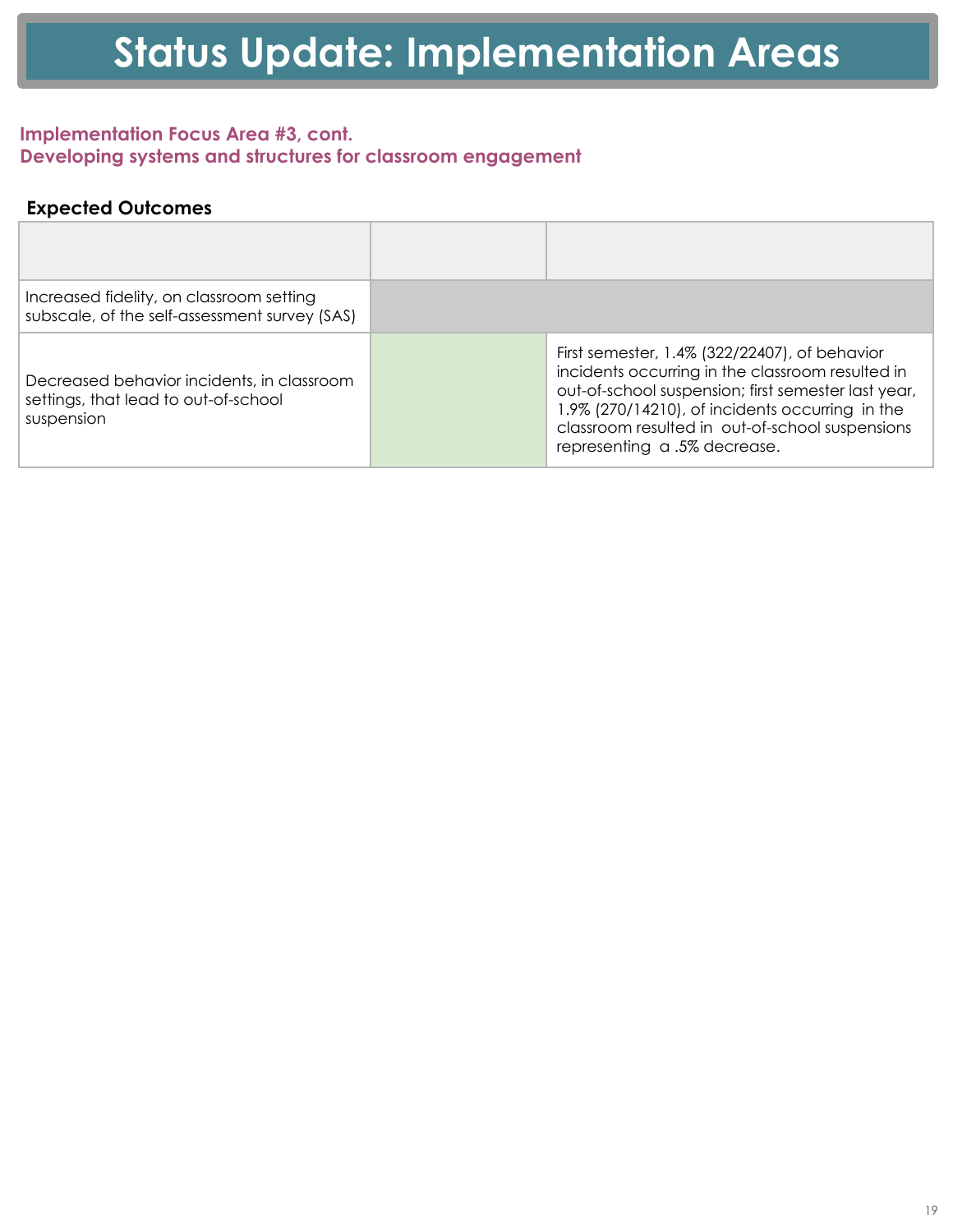### **Implementation Focus Area #3, cont. Developing systems and structures for classroom engagement**

| Increased fidelity, on classroom setting<br>subscale, of the self-assessment survey (SAS)        |                                                                                                                                                                                                                                                                                                |
|--------------------------------------------------------------------------------------------------|------------------------------------------------------------------------------------------------------------------------------------------------------------------------------------------------------------------------------------------------------------------------------------------------|
| Decreased behavior incidents, in classroom<br>settings, that lead to out-of-school<br>suspension | First semester, 1.4% (322/22407), of behavior<br>incidents occurring in the classroom resulted in<br>out-of-school suspension; first semester last year,<br>1.9% (270/14210), of incidents occurring in the<br>classroom resulted in out-of-school suspensions<br>representing a .5% decrease. |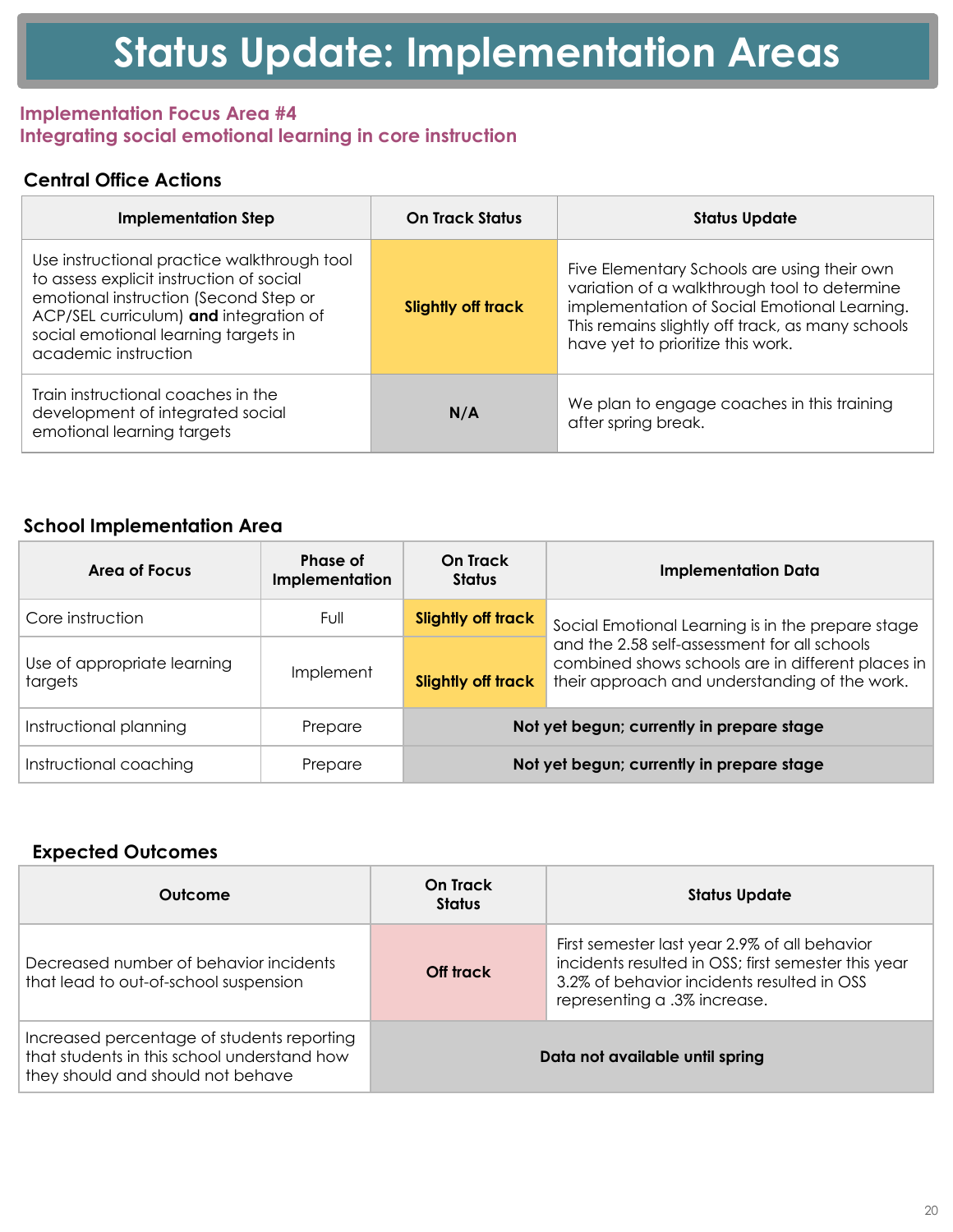#### **Implementation Focus Area #4 Integrating social emotional learning in core instruction**

# **Central Office Actions**

| <b>Implementation Step</b>                                                                                                                                                                                                                 | <b>On Track Status</b>    | <b>Status Update</b>                                                                                                                                                                                                                 |
|--------------------------------------------------------------------------------------------------------------------------------------------------------------------------------------------------------------------------------------------|---------------------------|--------------------------------------------------------------------------------------------------------------------------------------------------------------------------------------------------------------------------------------|
| Use instructional practice walkthrough tool<br>to assess explicit instruction of social<br>emotional instruction (Second Step or<br>ACP/SEL curriculum) and integration of<br>social emotional learning targets in<br>academic instruction | <b>Slightly off track</b> | Five Elementary Schools are using their own<br>variation of a walkthrough tool to determine<br>implementation of Social Emotional Learning.<br>This remains slightly off track, as many schools<br>have yet to prioritize this work. |
| Train instructional coaches in the<br>development of integrated social<br>emotional learning targets                                                                                                                                       | N/A                       | We plan to engage coaches in this training<br>after spring break.                                                                                                                                                                    |

### **School Implementation Area**

| Area of Focus                          | Phase of<br><b>Implementation</b> | <b>On Track</b><br><b>Status</b> | <b>Implementation Data</b>                                                                                                                         |
|----------------------------------------|-----------------------------------|----------------------------------|----------------------------------------------------------------------------------------------------------------------------------------------------|
| Core instruction                       | Full                              | <b>Slightly off track</b>        | Social Emotional Learning is in the prepare stage                                                                                                  |
| Use of appropriate learning<br>targets | Implement                         | <b>Slightly off track</b>        | and the 2.58 self-assessment for all schools<br>combined shows schools are in different places in<br>their approach and understanding of the work. |
| Instructional planning                 | Prepare                           |                                  | Not yet begun; currently in prepare stage                                                                                                          |
| Instructional coaching                 | Prepare                           |                                  | Not yet begun; currently in prepare stage                                                                                                          |

| Outcome                                                                                                                        | On Track<br><b>Status</b>       | <b>Status Update</b>                                                                                                                                                               |
|--------------------------------------------------------------------------------------------------------------------------------|---------------------------------|------------------------------------------------------------------------------------------------------------------------------------------------------------------------------------|
| Decreased number of behavior incidents<br>that lead to out-of-school suspension                                                | Off track                       | First semester last year 2.9% of all behavior<br>incidents resulted in OSS; first semester this year<br>3.2% of behavior incidents resulted in OSS<br>representing a .3% increase. |
| Increased percentage of students reporting<br>that students in this school understand how<br>they should and should not behave | Data not available until spring |                                                                                                                                                                                    |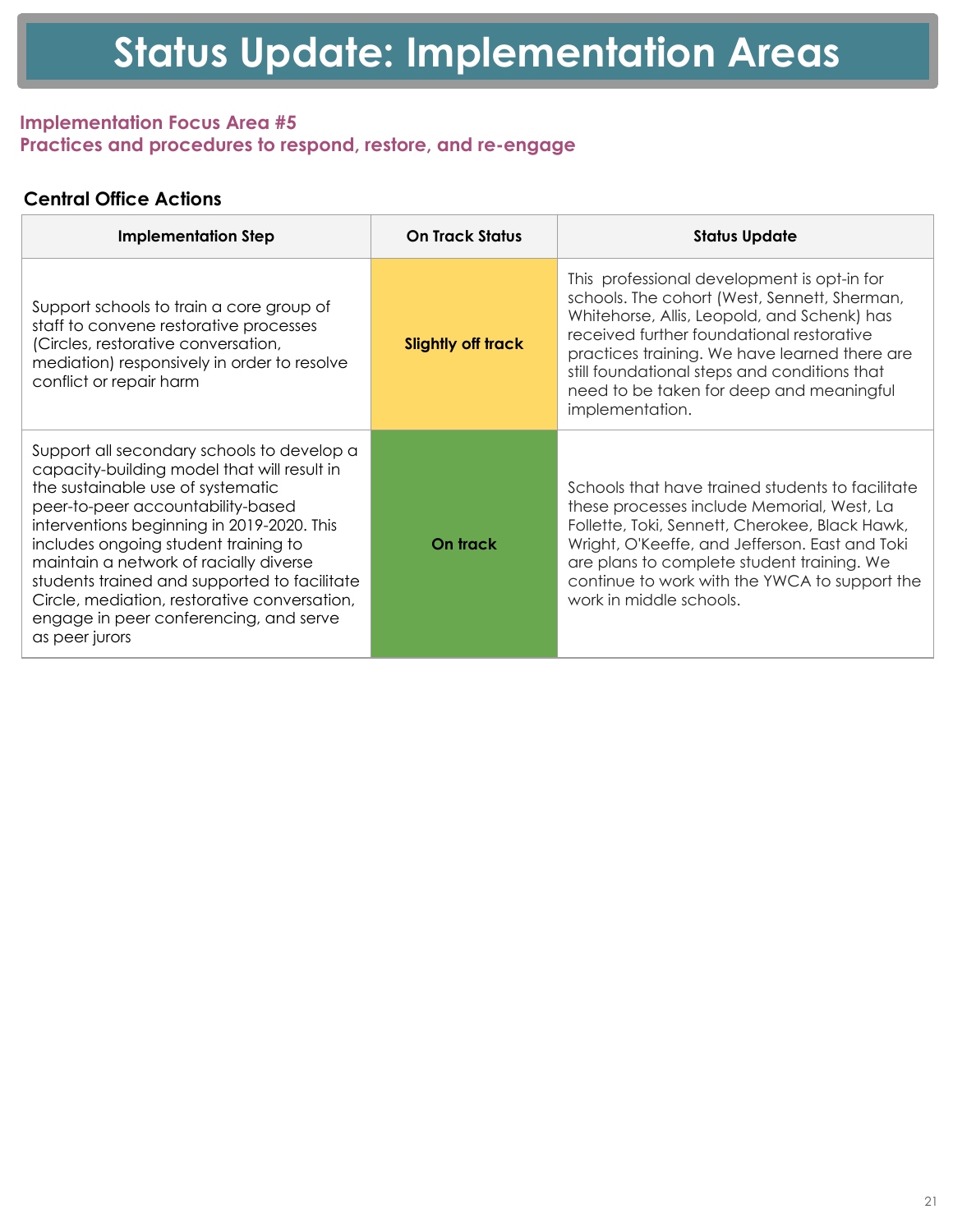### **Implementation Focus Area #5 Practices and procedures to respond, restore, and re-engage**

# **Central Office Actions**

| <b>Implementation Step</b>                                                                                                                                                                                                                                                                                                                                                                                                                                      | <b>On Track Status</b>    | <b>Status Update</b>                                                                                                                                                                                                                                                                                                                                    |
|-----------------------------------------------------------------------------------------------------------------------------------------------------------------------------------------------------------------------------------------------------------------------------------------------------------------------------------------------------------------------------------------------------------------------------------------------------------------|---------------------------|---------------------------------------------------------------------------------------------------------------------------------------------------------------------------------------------------------------------------------------------------------------------------------------------------------------------------------------------------------|
| Support schools to train a core group of<br>staff to convene restorative processes<br>(Circles, restorative conversation,<br>mediation) responsively in order to resolve<br>conflict or repair harm                                                                                                                                                                                                                                                             | <b>Slightly off track</b> | This professional development is opt-in for<br>schools. The cohort (West, Sennett, Sherman,<br>Whitehorse, Allis, Leopold, and Schenk) has<br>received further foundational restorative<br>practices training. We have learned there are<br>still foundational steps and conditions that<br>need to be taken for deep and meaningful<br>implementation. |
| Support all secondary schools to develop a<br>capacity-building model that will result in<br>the sustainable use of systematic<br>peer-to-peer accountability-based<br>interventions beginning in 2019-2020. This<br>includes ongoing student training to<br>maintain a network of racially diverse<br>students trained and supported to facilitate<br>Circle, mediation, restorative conversation,<br>engage in peer conferencing, and serve<br>as peer jurors | On track                  | Schools that have trained students to facilitate<br>these processes include Memorial, West, La<br>Follette, Toki, Sennett, Cherokee, Black Hawk,<br>Wright, O'Keeffe, and Jefferson. East and Toki<br>are plans to complete student training. We<br>continue to work with the YWCA to support the<br>work in middle schools.                            |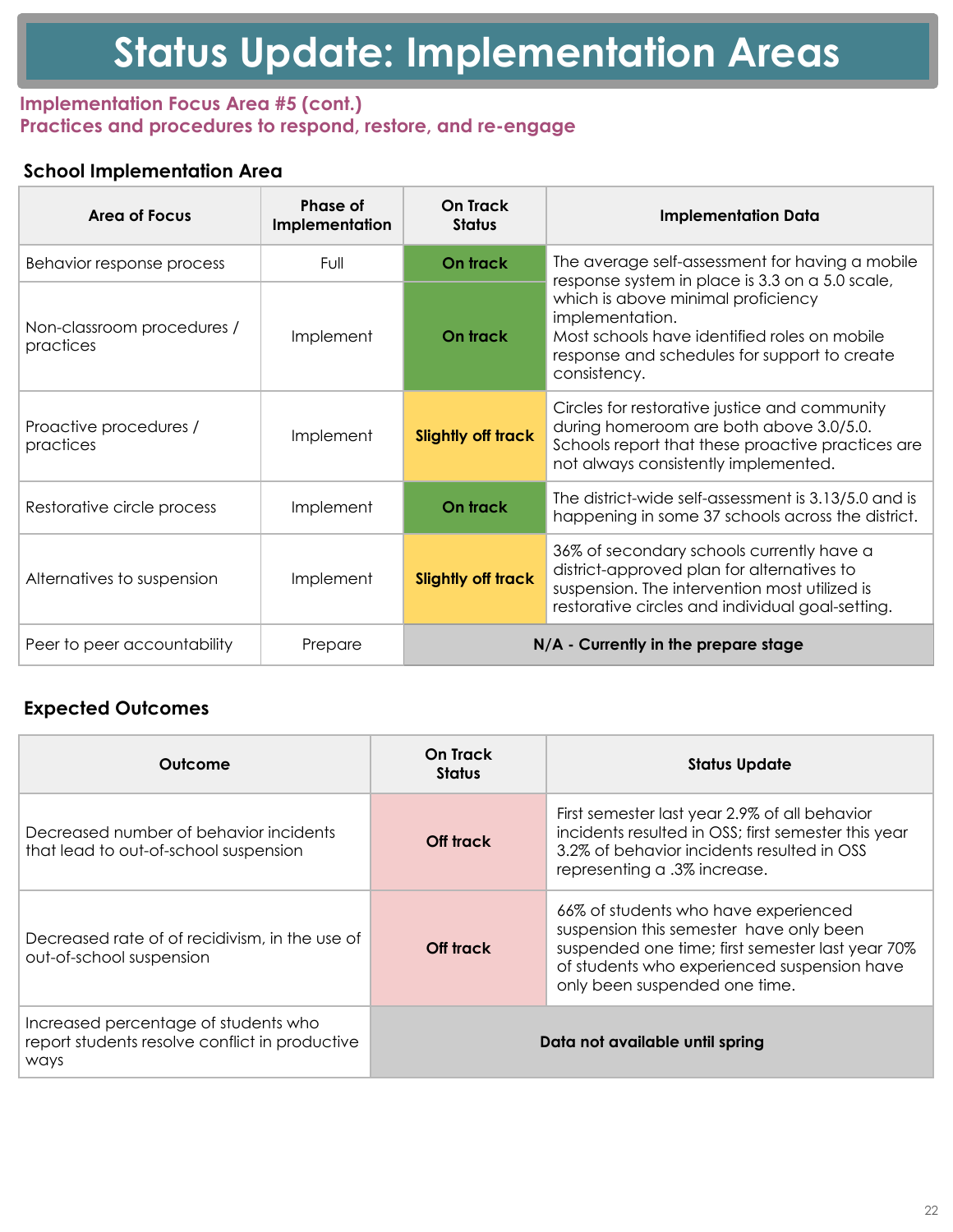### **Implementation Focus Area #5 (cont.) Practices and procedures to respond, restore, and re-engage**

# **School Implementation Area**

| Area of Focus                           | Phase of<br><b>Implementation</b> | On Track<br><b>Status</b>            | <b>Implementation Data</b>                                                                                                                                                                   |
|-----------------------------------------|-----------------------------------|--------------------------------------|----------------------------------------------------------------------------------------------------------------------------------------------------------------------------------------------|
| Behavior response process               | Full                              | On track                             | The average self-assessment for having a mobile<br>response system in place is 3.3 on a 5.0 scale,                                                                                           |
| Non-classroom procedures /<br>practices | Implement                         | On track                             | which is above minimal proficiency<br>implementation.<br>Most schools have identified roles on mobile<br>response and schedules for support to create<br>consistency.                        |
| Proactive procedures /<br>practices     | Implement                         | <b>Slightly off track</b>            | Circles for restorative justice and community<br>during homeroom are both above 3.0/5.0.<br>Schools report that these proactive practices are<br>not always consistently implemented.        |
| Restorative circle process              | Implement                         | On track                             | The district-wide self-assessment is 3.13/5.0 and is<br>happening in some 37 schools across the district.                                                                                    |
| Alternatives to suspension              | Implement                         | <b>Slightly off track</b>            | 36% of secondary schools currently have a<br>district-approved plan for alternatives to<br>suspension. The intervention most utilized is<br>restorative circles and individual goal-setting. |
| Peer to peer accountability             | Prepare                           | N/A - Currently in the prepare stage |                                                                                                                                                                                              |

| Outcome                                                                                        | On Track<br><b>Status</b> | <b>Status Update</b>                                                                                                                                                                                                |
|------------------------------------------------------------------------------------------------|---------------------------|---------------------------------------------------------------------------------------------------------------------------------------------------------------------------------------------------------------------|
| Decreased number of behavior incidents<br>that lead to out-of-school suspension                | Off track                 | First semester last year 2.9% of all behavior<br>incidents resulted in OSS; first semester this year<br>3.2% of behavior incidents resulted in OSS<br>representing a .3% increase.                                  |
| Decreased rate of of recidivism, in the use of<br>out-of-school suspension                     | Off track                 | 66% of students who have experienced<br>suspension this semester have only been<br>suspended one time; first semester last year 70%<br>of students who experienced suspension have<br>only been suspended one time. |
| Increased percentage of students who<br>report students resolve conflict in productive<br>ways |                           | Data not available until spring                                                                                                                                                                                     |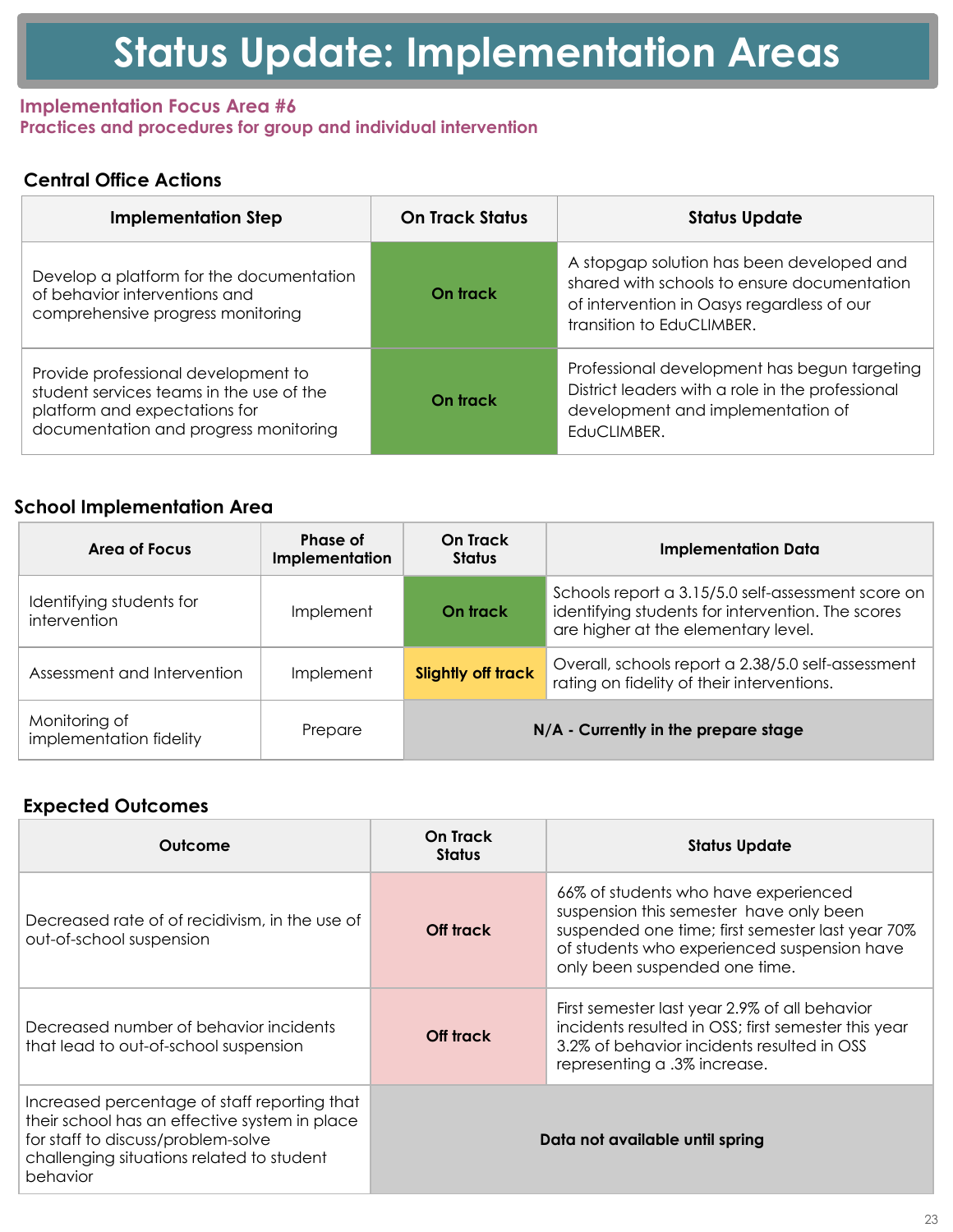#### **Implementation Focus Area #6 Practices and procedures for group and individual intervention**

# **Central Office Actions**

| <b>Implementation Step</b>                                                                                                                                | <b>On Track Status</b> | <b>Status Update</b>                                                                                                                                                |
|-----------------------------------------------------------------------------------------------------------------------------------------------------------|------------------------|---------------------------------------------------------------------------------------------------------------------------------------------------------------------|
| Develop a platform for the documentation<br>of behavior interventions and<br>comprehensive progress monitoring                                            | On track               | A stopgap solution has been developed and<br>shared with schools to ensure documentation<br>of intervention in Oasys regardless of our<br>transition to EduCLIMBER. |
| Provide professional development to<br>student services teams in the use of the<br>platform and expectations for<br>documentation and progress monitoring | On track               | Professional development has begun targeting<br>District leaders with a role in the professional<br>development and implementation of<br>EduCLIMBER.                |

### **School Implementation Area**

| Area of Focus                            | Phase of<br><b>Implementation</b> | On Track<br><b>Status</b>            | <b>Implementation Data</b>                                                                                                                     |
|------------------------------------------|-----------------------------------|--------------------------------------|------------------------------------------------------------------------------------------------------------------------------------------------|
| Identifying students for<br>intervention | Implement                         | On track                             | Schools report a 3.15/5.0 self-assessment score on<br>identifying students for intervention. The scores<br>are higher at the elementary level. |
| Assessment and Intervention              | Implement                         | <b>Slightly off track</b>            | Overall, schools report a 2.38/5.0 self-assessment<br>rating on fidelity of their interventions.                                               |
| Monitoring of<br>implementation fidelity | Prepare                           | N/A - Currently in the prepare stage |                                                                                                                                                |

| Outcome                                                                                                                                                                                      | On Track<br><b>Status</b>       | <b>Status Update</b>                                                                                                                                                                                                |
|----------------------------------------------------------------------------------------------------------------------------------------------------------------------------------------------|---------------------------------|---------------------------------------------------------------------------------------------------------------------------------------------------------------------------------------------------------------------|
| Decreased rate of of recidivism, in the use of<br>out-of-school suspension                                                                                                                   | Off track                       | 66% of students who have experienced<br>suspension this semester have only been<br>suspended one time; first semester last year 70%<br>of students who experienced suspension have<br>only been suspended one time. |
| Decreased number of behavior incidents<br>that lead to out-of-school suspension                                                                                                              | Off track                       | First semester last year 2.9% of all behavior<br>incidents resulted in OSS; first semester this year<br>3.2% of behavior incidents resulted in OSS<br>representing a .3% increase.                                  |
| Increased percentage of staff reporting that<br>their school has an effective system in place<br>for staff to discuss/problem-solve<br>challenging situations related to student<br>behavior | Data not available until spring |                                                                                                                                                                                                                     |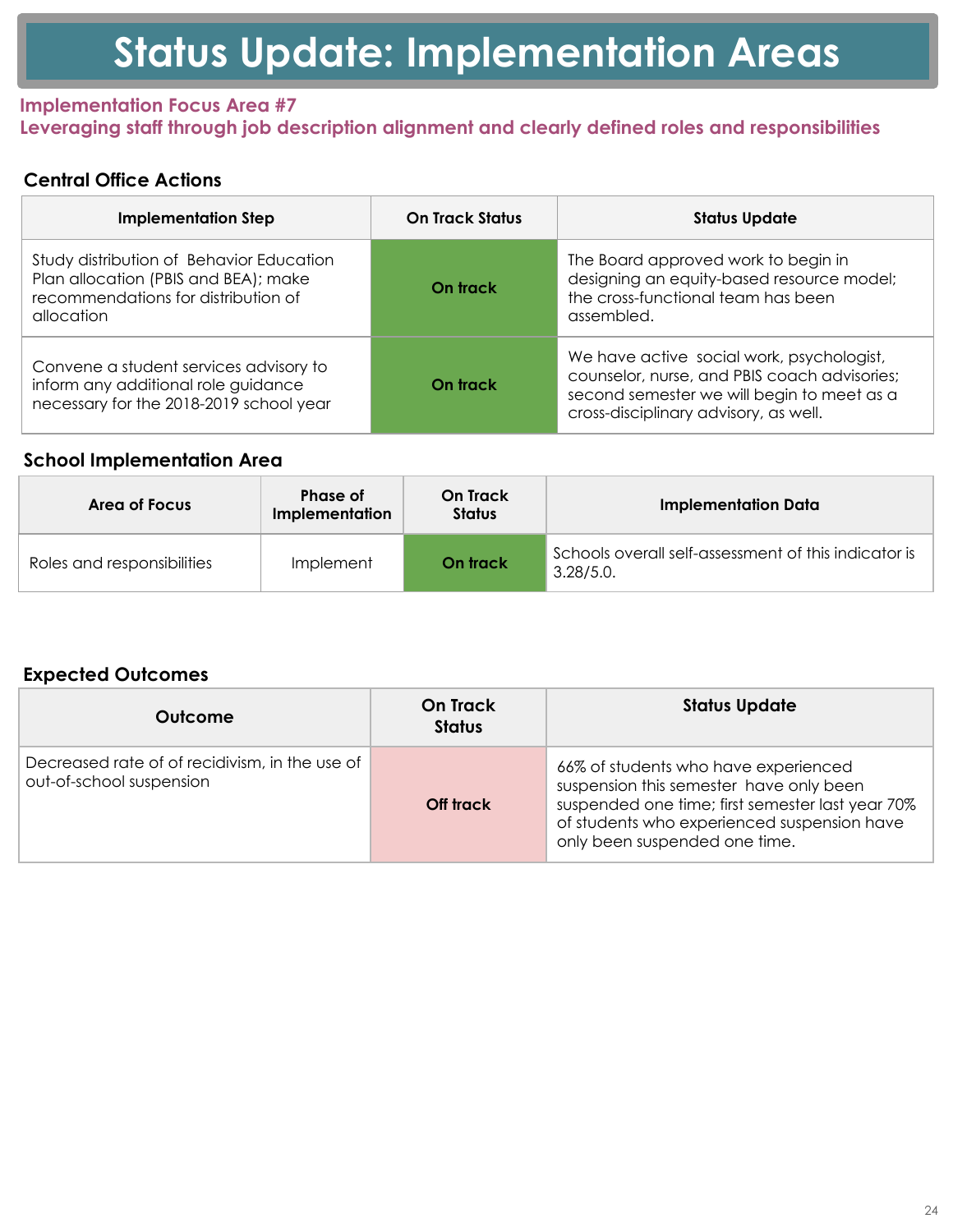### **Implementation Focus Area #7 Leveraging staff through job description alignment and clearly defined roles and responsibilities**

# **Central Office Actions**

| <b>Implementation Step</b>                                                                                                            | <b>On Track Status</b> | <b>Status Update</b>                                                                                                                                                             |
|---------------------------------------------------------------------------------------------------------------------------------------|------------------------|----------------------------------------------------------------------------------------------------------------------------------------------------------------------------------|
| Study distribution of Behavior Education<br>Plan allocation (PBIS and BEA); make<br>recommendations for distribution of<br>allocation | On track               | The Board approved work to begin in<br>designing an equity-based resource model;<br>the cross-functional team has been<br>assembled.                                             |
| Convene a student services advisory to<br>inform any additional role guidance<br>necessary for the 2018-2019 school year              | On track               | We have active social work, psychologist,<br>counselor, nurse, and PBIS coach advisories;<br>second semester we will begin to meet as a<br>cross-disciplinary advisory, as well. |

### **School Implementation Area**

| Area of Focus              | <b>Phase of</b><br><b>Implementation</b> | On Track<br><b>Status</b> | <b>Implementation Data</b>                                        |
|----------------------------|------------------------------------------|---------------------------|-------------------------------------------------------------------|
| Roles and responsibilities | Implement                                | On track                  | Schools overall self-assessment of this indicator is<br>3.28/5.0. |

| Outcome                                                                    | <b>On Track</b><br><b>Status</b> | <b>Status Update</b>                                                                                                                                                                                                |
|----------------------------------------------------------------------------|----------------------------------|---------------------------------------------------------------------------------------------------------------------------------------------------------------------------------------------------------------------|
| Decreased rate of of recidivism, in the use of<br>out-of-school suspension | Off track                        | 66% of students who have experienced<br>suspension this semester have only been<br>suspended one time; first semester last year 70%<br>of students who experienced suspension have<br>only been suspended one time. |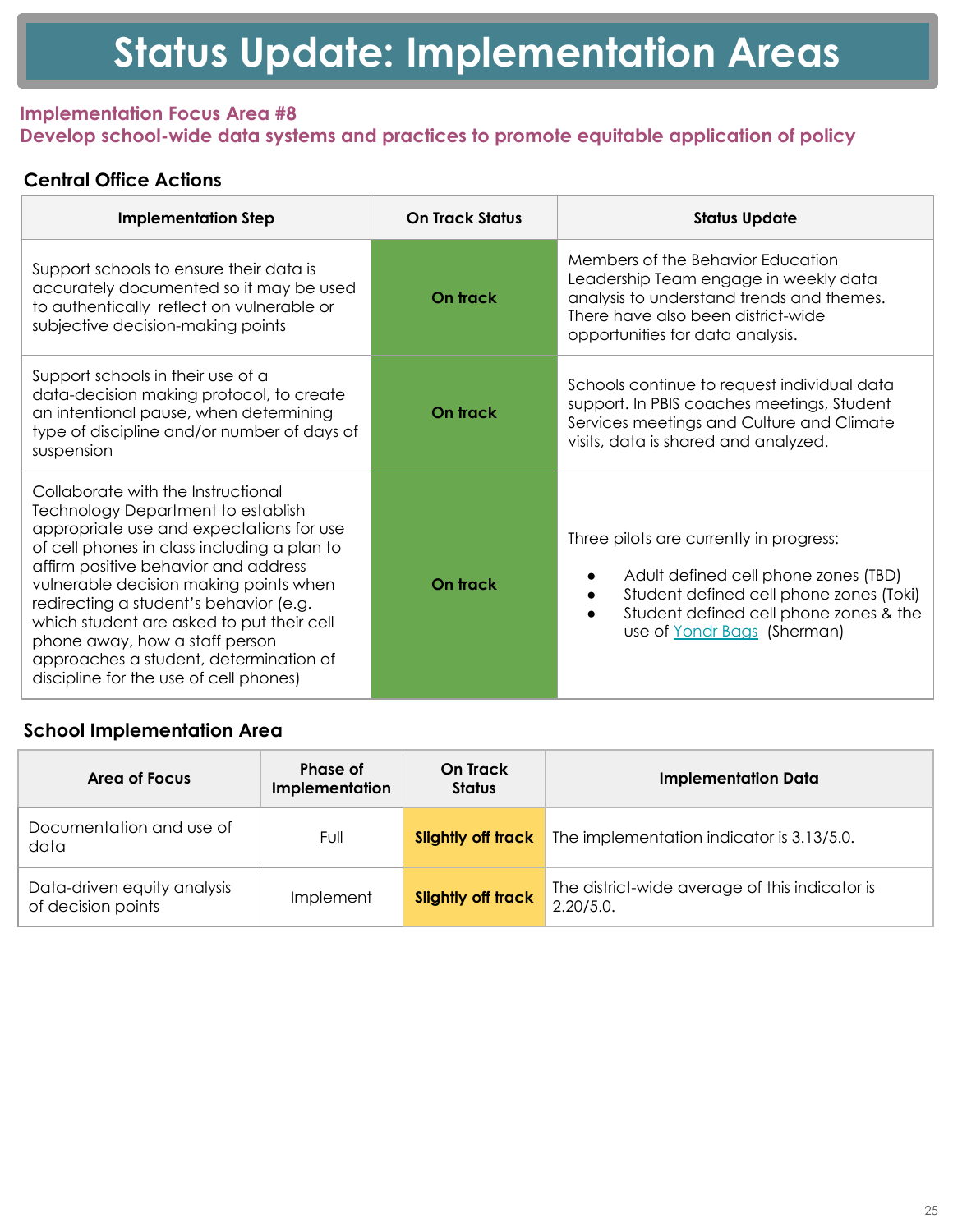### **Implementation Focus Area #8 Develop school-wide data systems and practices to promote equitable application of policy**

# **Central Office Actions**

| <b>Implementation Step</b>                                                                                                                                                                                                                                                                                                                                                                                                                                                | <b>On Track Status</b> | <b>Status Update</b>                                                                                                                                                                                                    |
|---------------------------------------------------------------------------------------------------------------------------------------------------------------------------------------------------------------------------------------------------------------------------------------------------------------------------------------------------------------------------------------------------------------------------------------------------------------------------|------------------------|-------------------------------------------------------------------------------------------------------------------------------------------------------------------------------------------------------------------------|
| Support schools to ensure their data is<br>accurately documented so it may be used<br>to authentically reflect on vulnerable or<br>subjective decision-making points                                                                                                                                                                                                                                                                                                      | On track               | Members of the Behavior Education<br>Leadership Team engage in weekly data<br>analysis to understand trends and themes.<br>There have also been district-wide<br>opportunities for data analysis.                       |
| Support schools in their use of a<br>data-decision making protocol, to create<br>an intentional pause, when determining<br>type of discipline and/or number of days of<br>suspension                                                                                                                                                                                                                                                                                      | On track               | Schools continue to request individual data<br>support. In PBIS coaches meetings, Student<br>Services meetings and Culture and Climate<br>visits, data is shared and analyzed.                                          |
| Collaborate with the Instructional<br><b>Technology Department to establish</b><br>appropriate use and expectations for use<br>of cell phones in class including a plan to<br>affirm positive behavior and address<br>vulnerable decision making points when<br>redirecting a student's behavior (e.g.<br>which student are asked to put their cell<br>phone away, how a staff person<br>approaches a student, determination of<br>discipline for the use of cell phones) | On track               | Three pilots are currently in progress:<br>Adult defined cell phone zones (TBD)<br>Student defined cell phone zones (Toki)<br>$\bullet$<br>Student defined cell phone zones & the<br>use of <u>Yondr Bags</u> (Sherman) |

# **School Implementation Area**

| Area of Focus                                     | Phase of<br>Implementation | <b>On Track</b><br><b>Status</b> | <b>Implementation Data</b>                                  |
|---------------------------------------------------|----------------------------|----------------------------------|-------------------------------------------------------------|
| Documentation and use of<br>data                  | Full                       | Slightly off track               | The implementation indicator is 3.13/5.0.                   |
| Data-driven equity analysis<br>of decision points | Implement                  | <b>Slightly off track</b>        | The district-wide average of this indicator is<br>2.20/5.0. |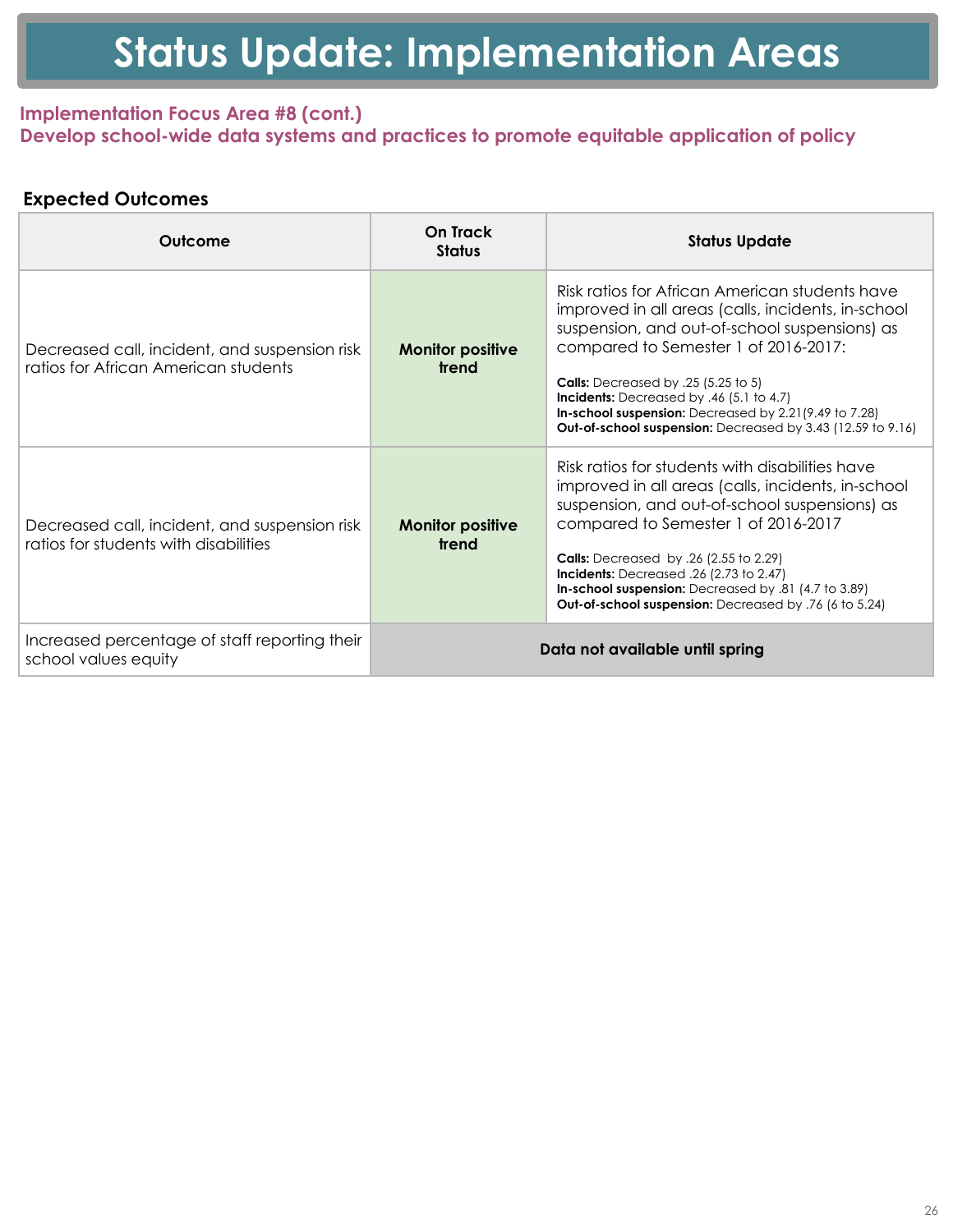### **Implementation Focus Area #8 (cont.) Develop school-wide data systems and practices to promote equitable application of policy**

| Outcome                                                                                | On Track<br><b>Status</b>        | <b>Status Update</b>                                                                                                                                                                                                                                                                                                                                                                                            |
|----------------------------------------------------------------------------------------|----------------------------------|-----------------------------------------------------------------------------------------------------------------------------------------------------------------------------------------------------------------------------------------------------------------------------------------------------------------------------------------------------------------------------------------------------------------|
| Decreased call, incident, and suspension risk<br>ratios for African American students  | <b>Monitor positive</b><br>trend | Risk ratios for African American students have<br>improved in all areas (calls, incidents, in-school<br>suspension, and out-of-school suspensions) as<br>compared to Semester 1 of 2016-2017:<br><b>Calls:</b> Decreased by .25 (5.25 to 5)<br>Incidents: Decreased by .46 (5.1 to 4.7)<br>In-school suspension: Decreased by 2.21(9.49 to 7.28)<br>Out-of-school suspension: Decreased by 3.43 (12.59 to 9.16) |
| Decreased call, incident, and suspension risk<br>ratios for students with disabilities | <b>Monitor positive</b><br>trend | Risk ratios for students with disabilities have<br>improved in all areas (calls, incidents, in-school<br>suspension, and out-of-school suspensions) as<br>compared to Semester 1 of 2016-2017<br><b>Calls:</b> Decreased by .26 (2.55 to 2.29)<br>Incidents: Decreased .26 (2.73 to 2.47)<br>In-school suspension: Decreased by .81 (4.7 to 3.89)<br>Out-of-school suspension: Decreased by .76 (6 to 5.24)     |
| Increased percentage of staff reporting their<br>school values equity                  | Data not available until spring  |                                                                                                                                                                                                                                                                                                                                                                                                                 |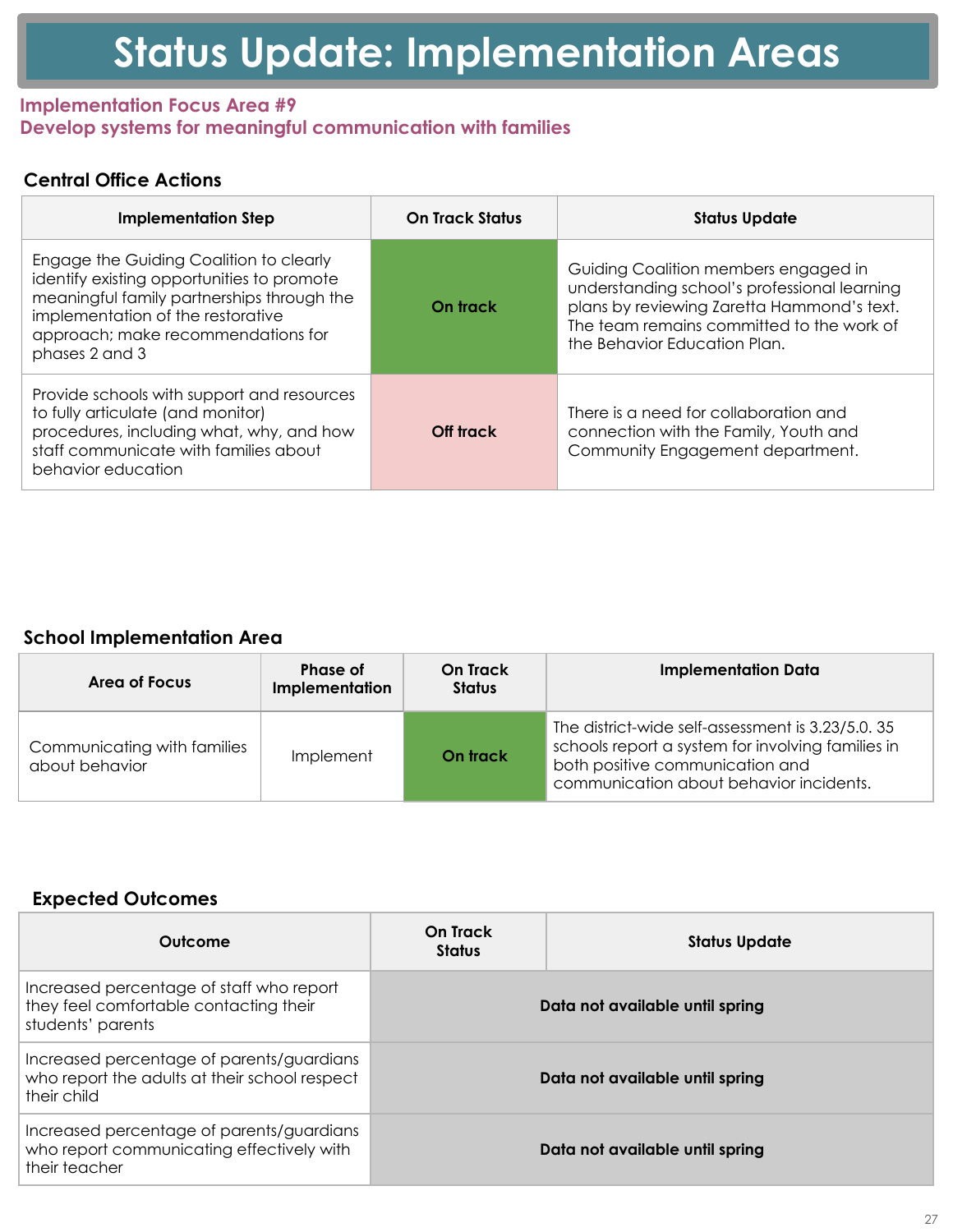#### **Implementation Focus Area #7** Leveraging staff through job description alignment and clearly defined roles and responsibilities

### **Central Office Actions**

| <b>Implementation Step</b>                                                                                                             | <b>On Track Status</b> | <b>Status Update</b>                                                                                                                        |
|----------------------------------------------------------------------------------------------------------------------------------------|------------------------|---------------------------------------------------------------------------------------------------------------------------------------------|
| 3 O D Q D O O R F D W L R Q 3%, 6 D Q G % (\$ P D N H<br>U H F R P P H Q G D W L R Q V I R U G L V W U L E X W L R Q R I<br>DOORFDWLRQ |                        | 6WXG\GLVWULEXWLRQRI%HKDYLRU (GXFDWERQ%RDUGDSSURYHGZRUNWR<br>GHVLJQLQJ DQ HTXLW\ EDVHG UH<br>WKH FURVV IXQFWLRQDO WHDP K<br><b>DVVHPEOHG</b> |
| & RQYHQH D VWXGHQW VHUYLFHV DGYLVRU\<br>LQIRUP DQ\ DGGLWLRQDO UROH JXDhGGDCRFH<br>QHFHVVDU\IRU WKH                                     | VFKRRO \HDU            | WERXQVHORU QXUVH DQG 3%,6 F<br>VHFRQG VHPHVWHU ZH ZLOO EHJ<br>FURVV GLVFLSOLQDU\ DGYLVRU\                                                   |

#### **School Implementation Area**

| Area of Focus                             | <b>Phase of</b><br>Implementation | <b>On Track</b><br><b>Status</b> | <b>Implementation Data</b>   |  |
|-------------------------------------------|-----------------------------------|----------------------------------|------------------------------|--|
| 5ROHV DQG UHVSRQVLERLSOLMHRIHHQW On track |                                   |                                  | 6FKRROV RYHUDOO VHOI DVVHVVF |  |

| <b>Outcome</b>           | <b>On Track</b><br><b>Status</b> | <b>Status Update</b>                                                                                                                                                                                            |
|--------------------------|----------------------------------|-----------------------------------------------------------------------------------------------------------------------------------------------------------------------------------------------------------------|
| RXW RI VFKRRO VXVSHQVLRQ | <b>Off track</b>                 | 'HFUHDVHG UDWH RI RI UHFL <mark>GLYLVP LQ WKH XVHIR</mark> JWXGHQWV ZKR KDYH H[SHl<br>VXVSHQVLRQ WKLV VHPHVWHU KI<br>VXVSHQGHG RQH WLPH ILUVW VH<br>RI VWXGHQWV ZKR HISHULHQFHG<br>RQO\ EHHQ VXVSHQGHG RQH WLPI |